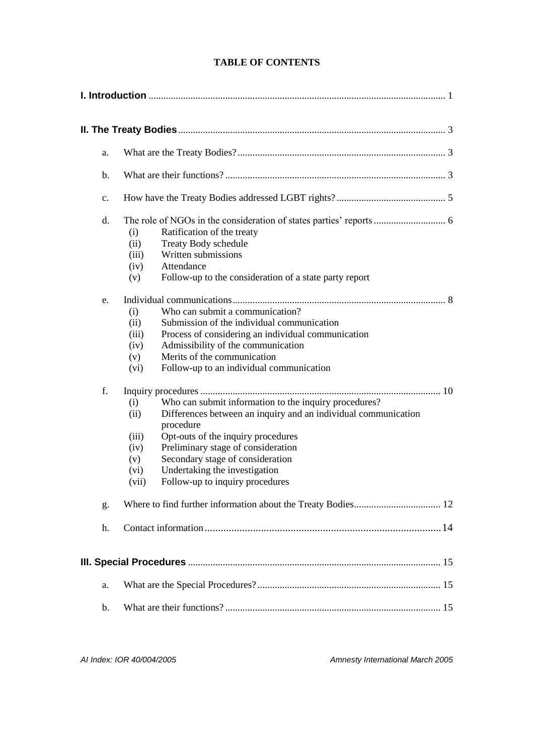| a. |                                                                                                                                                                                                                                                                                                                                                                                  |
|----|----------------------------------------------------------------------------------------------------------------------------------------------------------------------------------------------------------------------------------------------------------------------------------------------------------------------------------------------------------------------------------|
| b. |                                                                                                                                                                                                                                                                                                                                                                                  |
| c. |                                                                                                                                                                                                                                                                                                                                                                                  |
| d. | Ratification of the treaty<br>(i)<br>Treaty Body schedule<br>(ii)<br>Written submissions<br>(iii)<br>Attendance<br>(iv)<br>(v)<br>Follow-up to the consideration of a state party report                                                                                                                                                                                         |
| e. | Who can submit a communication?<br>(i)<br>Submission of the individual communication<br>(ii)<br>Process of considering an individual communication<br>(iii)<br>Admissibility of the communication<br>(iv)<br>Merits of the communication<br>(v)<br>Follow-up to an individual communication<br>(vi)                                                                              |
| f. | (i)<br>Who can submit information to the inquiry procedures?<br>Differences between an inquiry and an individual communication<br>(ii)<br>procedure<br>Opt-outs of the inquiry procedures<br>(iii)<br>Preliminary stage of consideration<br>(iv)<br>Secondary stage of consideration<br>(v)<br>Undertaking the investigation<br>(vi)<br>Follow-up to inquiry procedures<br>(vii) |
| g. |                                                                                                                                                                                                                                                                                                                                                                                  |
| h. |                                                                                                                                                                                                                                                                                                                                                                                  |
|    |                                                                                                                                                                                                                                                                                                                                                                                  |
| a. |                                                                                                                                                                                                                                                                                                                                                                                  |
| b. |                                                                                                                                                                                                                                                                                                                                                                                  |

*AI Index: IOR 40/004/2005 Amnesty International March 2005*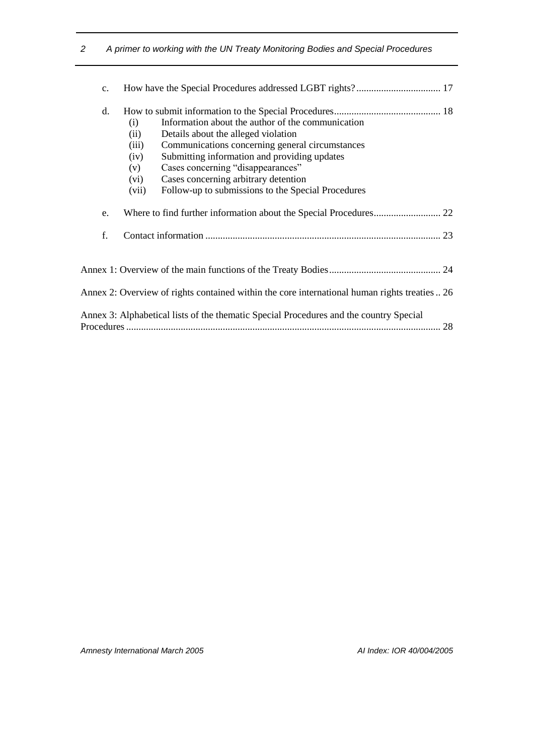| $\mathbf{C}$ . |                                                      |                                                                                                                                                                                                                                                                                                                                |  |
|----------------|------------------------------------------------------|--------------------------------------------------------------------------------------------------------------------------------------------------------------------------------------------------------------------------------------------------------------------------------------------------------------------------------|--|
| d.             | (i)<br>(ii)<br>(iii)<br>(iv)<br>(v)<br>(vi)<br>(vii) | Information about the author of the communication<br>Details about the alleged violation<br>Communications concerning general circumstances<br>Submitting information and providing updates<br>Cases concerning "disappearances"<br>Cases concerning arbitrary detention<br>Follow-up to submissions to the Special Procedures |  |
| e.             |                                                      |                                                                                                                                                                                                                                                                                                                                |  |
| f.             |                                                      |                                                                                                                                                                                                                                                                                                                                |  |
|                |                                                      |                                                                                                                                                                                                                                                                                                                                |  |
|                |                                                      | Annex 2: Overview of rights contained within the core international human rights treaties  26                                                                                                                                                                                                                                  |  |
|                |                                                      | Annex 3: Alphabetical lists of the thematic Special Procedures and the country Special                                                                                                                                                                                                                                         |  |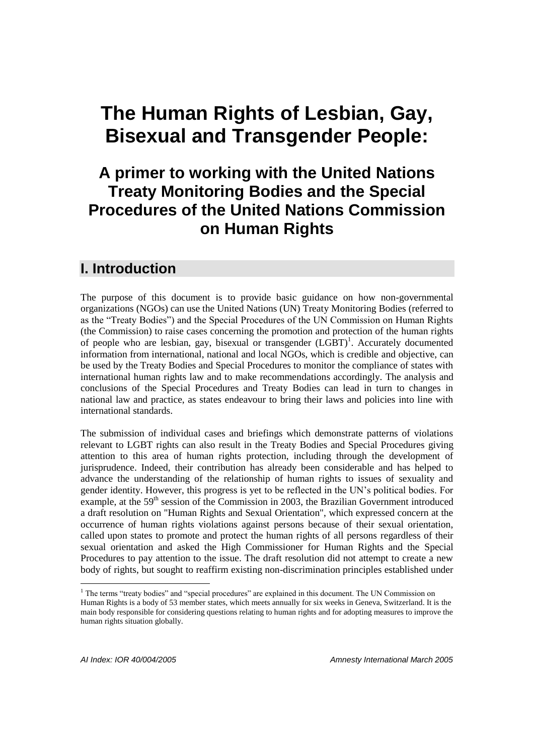# **The Human Rights of Lesbian, Gay, Bisexual and Transgender People:**

# **A primer to working with the United Nations Treaty Monitoring Bodies and the Special Procedures of the United Nations Commission on Human Rights**

# <span id="page-2-0"></span>**I. Introduction**

The purpose of this document is to provide basic guidance on how non-governmental organizations (NGOs) can use the United Nations (UN) Treaty Monitoring Bodies (referred to as the "Treaty Bodies") and the Special Procedures of the UN Commission on Human Rights (the Commission) to raise cases concerning the promotion and protection of the human rights of people who are lesbian, gay, bisexual or transgender (LGBT)<sup>1</sup>. Accurately documented information from international, national and local NGOs, which is credible and objective, can be used by the Treaty Bodies and Special Procedures to monitor the compliance of states with international human rights law and to make recommendations accordingly. The analysis and conclusions of the Special Procedures and Treaty Bodies can lead in turn to changes in national law and practice, as states endeavour to bring their laws and policies into line with international standards.

The submission of individual cases and briefings which demonstrate patterns of violations relevant to LGBT rights can also result in the Treaty Bodies and Special Procedures giving attention to this area of human rights protection, including through the development of jurisprudence. Indeed, their contribution has already been considerable and has helped to advance the understanding of the relationship of human rights to issues of sexuality and gender identity. However, this progress is yet to be reflected in the UN's political bodies. For example, at the 59<sup>th</sup> session of the Commission in 2003, the Brazilian Government introduced a draft resolution on "Human Rights and Sexual Orientation", which expressed concern at the occurrence of human rights violations against persons because of their sexual orientation, called upon states to promote and protect the human rights of all persons regardless of their sexual orientation and asked the High Commissioner for Human Rights and the Special Procedures to pay attention to the issue. The draft resolution did not attempt to create a new body of rights, but sought to reaffirm existing non-discrimination principles established under

<sup>&</sup>lt;sup>1</sup> The terms "treaty bodies" and "special procedures" are explained in this document. The UN Commission on Human Rights is a body of 53 member states, which meets annually for six weeks in Geneva, Switzerland. It is the main body responsible for considering questions relating to human rights and for adopting measures to improve the human rights situation globally.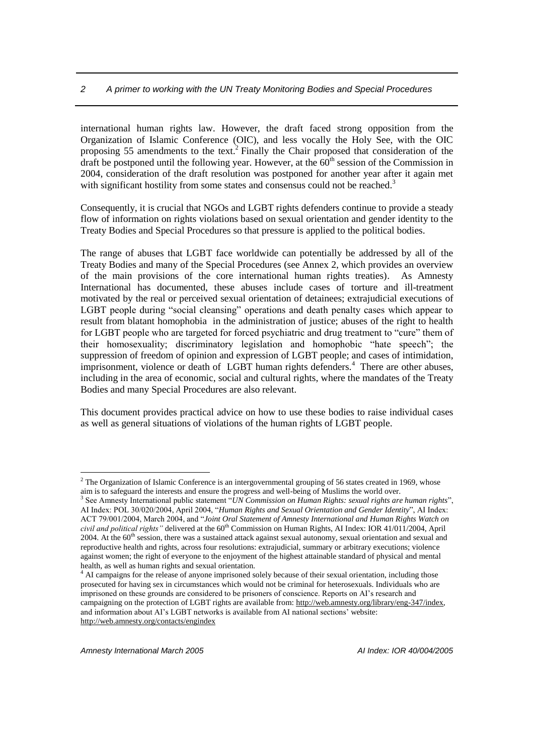international human rights law. However, the draft faced strong opposition from the Organization of Islamic Conference (OIC), and less vocally the Holy See, with the OIC proposing 55 amendments to the text.<sup>2</sup> Finally the Chair proposed that consideration of the draft be postponed until the following year. However, at the  $60<sup>th</sup>$  session of the Commission in 2004, consideration of the draft resolution was postponed for another year after it again met with significant hostility from some states and consensus could not be reached.<sup>3</sup>

Consequently, it is crucial that NGOs and LGBT rights defenders continue to provide a steady flow of information on rights violations based on sexual orientation and gender identity to the Treaty Bodies and Special Procedures so that pressure is applied to the political bodies.

The range of abuses that LGBT face worldwide can potentially be addressed by all of the Treaty Bodies and many of the Special Procedures (see Annex 2, which provides an overview of the main provisions of the core international human rights treaties). As Amnesty International has documented, these abuses include cases of torture and ill-treatment motivated by the real or perceived sexual orientation of detainees; extrajudicial executions of LGBT people during "social cleansing" operations and death penalty cases which appear to result from blatant homophobia in the administration of justice; abuses of the right to health for LGBT people who are targeted for forced psychiatric and drug treatment to "cure" them of their homosexuality; discriminatory legislation and homophobic "hate speech"; the suppression of freedom of opinion and expression of LGBT people; and cases of intimidation, imprisonment, violence or death of LGBT human rights defenders.<sup>4</sup> There are other abuses, including in the area of economic, social and cultural rights, where the mandates of the Treaty Bodies and many Special Procedures are also relevant.

This document provides practical advice on how to use these bodies to raise individual cases as well as general situations of violations of the human rights of LGBT people.

<sup>&</sup>lt;sup>2</sup> The Organization of Islamic Conference is an intergovernmental grouping of 56 states created in 1969, whose aim is to safeguard the interests and ensure the progress and well-being of Muslims the world over.

<sup>3</sup> See Amnesty International public statement "*UN Commission on Human Rights: sexual rights are human rights*", AI Index: POL 30/020/2004, April 2004, "*Human Rights and Sexual Orientation and Gender Identity*", AI Index: ACT 79/001/2004, March 2004, and "*Joint Oral Statement of Amnesty International and Human Rights Watch on civil and political rights"* delivered at the 60<sup>th</sup> Commission on Human Rights, AI Index: IOR 41/011/2004, April 2004. At the 60<sup>th</sup> session, there was a sustained attack against sexual autonomy, sexual orientation and sexual and reproductive health and rights, across four resolutions: extrajudicial, summary or arbitrary executions; violence against women; the right of everyone to the enjoyment of the highest attainable standard of physical and mental health, as well as human rights and sexual orientation.

<sup>&</sup>lt;sup>4</sup> AI campaigns for the release of anyone imprisoned solely because of their sexual orientation, including those prosecuted for having sex in circumstances which would not be criminal for heterosexuals. Individuals who are imprisoned on these grounds are considered to be prisoners of conscience. Reports on AI's research and campaigning on the protection of LGBT rights are available from: [http://web.amnesty.org/library/eng-347/index,](http://web.amnesty.org/library/eng-347/index) and information about AI's LGBT networks is available from AI national sections' website: <http://web.amnesty.org/contacts/engindex>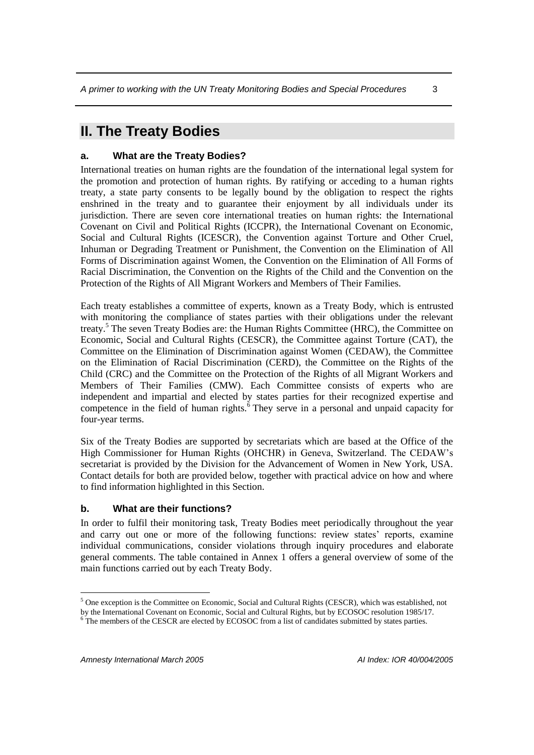# <span id="page-4-0"></span>**II. The Treaty Bodies**

#### <span id="page-4-1"></span>**a. What are the Treaty Bodies?**

International treaties on human rights are the foundation of the international legal system for the promotion and protection of human rights. By ratifying or acceding to a human rights treaty, a state party consents to be legally bound by the obligation to respect the rights enshrined in the treaty and to guarantee their enjoyment by all individuals under its jurisdiction. There are seven core international treaties on human rights: the International Covenant on Civil and Political Rights (ICCPR), the International Covenant on Economic, Social and Cultural Rights (ICESCR), the Convention against Torture and Other Cruel, Inhuman or Degrading Treatment or Punishment, the Convention on the Elimination of All Forms of Discrimination against Women, the Convention on the Elimination of All Forms of Racial Discrimination, the Convention on the Rights of the Child and the Convention on the Protection of the Rights of All Migrant Workers and Members of Their Families.

Each treaty establishes a committee of experts, known as a Treaty Body, which is entrusted with monitoring the compliance of states parties with their obligations under the relevant treaty.<sup>5</sup> The seven Treaty Bodies are: the Human Rights Committee (HRC), the Committee on Economic, Social and Cultural Rights (CESCR), the Committee against Torture (CAT), the Committee on the Elimination of Discrimination against Women (CEDAW), the Committee on the Elimination of Racial Discrimination (CERD), the Committee on the Rights of the Child (CRC) and the Committee on the Protection of the Rights of all Migrant Workers and Members of Their Families (CMW). Each Committee consists of experts who are independent and impartial and elected by states parties for their recognized expertise and competence in the field of human rights.<sup> $\check{\text{6}}$ </sup> They serve in a personal and unpaid capacity for four-year terms.

Six of the Treaty Bodies are supported by secretariats which are based at the Office of the High Commissioner for Human Rights (OHCHR) in Geneva, Switzerland. The CEDAW's secretariat is provided by the Division for the Advancement of Women in New York, USA. Contact details for both are provided below, together with practical advice on how and where to find information highlighted in this Section.

#### <span id="page-4-2"></span>**b. What are their functions?**

In order to fulfil their monitoring task, Treaty Bodies meet periodically throughout the year and carry out one or more of the following functions: review states' reports, examine individual communications, consider violations through inquiry procedures and elaborate general comments. The table contained in Annex 1 offers a general overview of some of the main functions carried out by each Treaty Body.

 $\overline{a}$ <sup>5</sup> One exception is the Committee on Economic, Social and Cultural Rights (CESCR), which was established, not by the International Covenant on Economic, Social and Cultural Rights, but by ECOSOC resolution 1985/17.

<sup>&</sup>lt;sup>6</sup> The members of the CESCR are elected by ECOSOC from a list of candidates submitted by states parties.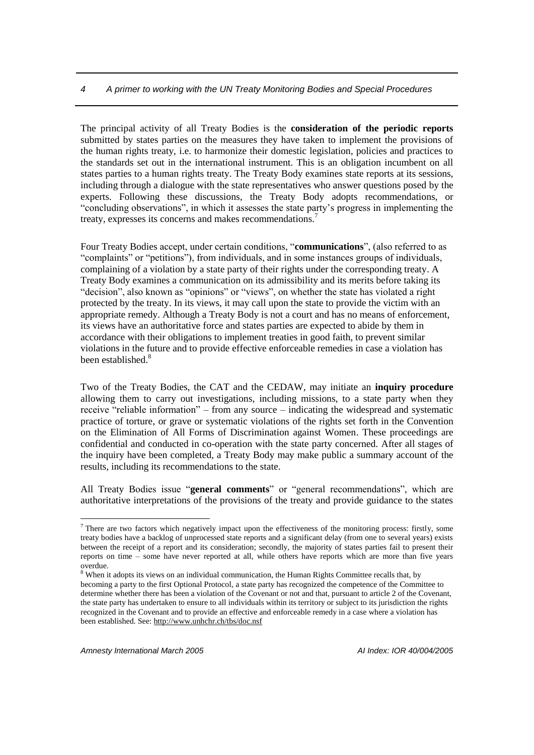The principal activity of all Treaty Bodies is the **consideration of the periodic reports** submitted by states parties on the measures they have taken to implement the provisions of the human rights treaty, i.e. to harmonize their domestic legislation, policies and practices to the standards set out in the international instrument. This is an obligation incumbent on all states parties to a human rights treaty. The Treaty Body examines state reports at its sessions, including through a dialogue with the state representatives who answer questions posed by the experts. Following these discussions, the Treaty Body adopts recommendations, or "concluding observations", in which it assesses the state party's progress in implementing the treaty, expresses its concerns and makes recommendations.<sup>7</sup>

Four Treaty Bodies accept, under certain conditions, "**communications**", (also referred to as "complaints" or "petitions"), from individuals, and in some instances groups of individuals, complaining of a violation by a state party of their rights under the corresponding treaty. A Treaty Body examines a communication on its admissibility and its merits before taking its "decision", also known as "opinions" or "views", on whether the state has violated a right protected by the treaty. In its views, it may call upon the state to provide the victim with an appropriate remedy. Although a Treaty Body is not a court and has no means of enforcement, its views have an authoritative force and states parties are expected to abide by them in accordance with their obligations to implement treaties in good faith, to prevent similar violations in the future and to provide effective enforceable remedies in case a violation has been established.<sup>8</sup>

Two of the Treaty Bodies, the CAT and the CEDAW, may initiate an **inquiry procedure** allowing them to carry out investigations, including missions, to a state party when they receive "reliable information" – from any source – indicating the widespread and systematic practice of torture, or grave or systematic violations of the rights set forth in the Convention on the Elimination of All Forms of Discrimination against Women. These proceedings are confidential and conducted in co-operation with the state party concerned. After all stages of the inquiry have been completed, a Treaty Body may make public a summary account of the results, including its recommendations to the state.

All Treaty Bodies issue "**general comments**" or "general recommendations", which are authoritative interpretations of the provisions of the treaty and provide guidance to the states

<sup>&</sup>lt;sup>7</sup> There are two factors which negatively impact upon the effectiveness of the monitoring process: firstly, some treaty bodies have a backlog of unprocessed state reports and a significant delay (from one to several years) exists between the receipt of a report and its consideration; secondly, the majority of states parties fail to present their reports on time – some have never reported at all, while others have reports which are more than five years overdue.

<sup>&</sup>lt;sup>8</sup> When it adopts its views on an individual communication, the Human Rights Committee recalls that, by becoming a party to the first Optional Protocol, a state party has recognized the competence of the Committee to determine whether there has been a violation of the Covenant or not and that, pursuant to article 2 of the Covenant, the state party has undertaken to ensure to all individuals within its territory or subject to its jurisdiction the rights recognized in the Covenant and to provide an effective and enforceable remedy in a case where a violation has been established. See[: http://www.unhchr.ch/tbs/doc.nsf](http://www.unhchr.ch/tbs/doc.nsf)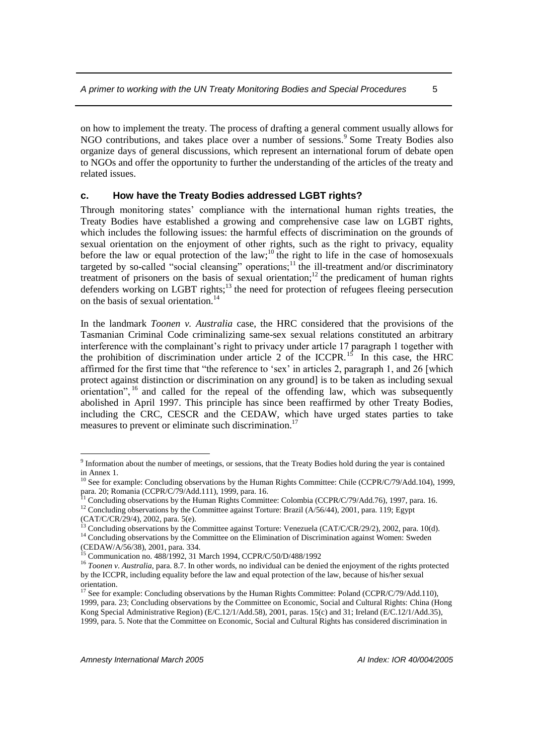on how to implement the treaty. The process of drafting a general comment usually allows for NGO contributions, and takes place over a number of sessions.<sup>9</sup> Some Treaty Bodies also organize days of general discussions, which represent an international forum of debate open to NGOs and offer the opportunity to further the understanding of the articles of the treaty and related issues.

#### <span id="page-6-0"></span>**c. How have the Treaty Bodies addressed LGBT rights?**

Through monitoring states' compliance with the international human rights treaties, the Treaty Bodies have established a growing and comprehensive case law on LGBT rights, which includes the following issues: the harmful effects of discrimination on the grounds of sexual orientation on the enjoyment of other rights, such as the right to privacy, equality before the law or equal protection of the law;<sup>10</sup> the right to life in the case of homosexuals targeted by so-called "social cleansing" operations;<sup>11</sup> the ill-treatment and/or discriminatory treatment of prisoners on the basis of sexual orientation;<sup>12</sup> the predicament of human rights defenders working on LGBT rights;<sup>13</sup> the need for protection of refugees fleeing persecution on the basis of sexual orientation.<sup>14</sup>

In the landmark *Toonen v. Australia* case, the HRC considered that the provisions of the Tasmanian Criminal Code criminalizing same-sex sexual relations constituted an arbitrary interference with the complainant's right to privacy under article 17 paragraph 1 together with the prohibition of discrimination under article 2 of the ICCPR.<sup>15</sup> In this case, the HRC affirmed for the first time that "the reference to 'sex' in articles 2, paragraph 1, and 26 [which protect against distinction or discrimination on any ground] is to be taken as including sexual  $o$ rientation",  $^{16}$  and called for the repeal of the offending law, which was subsequently abolished in April 1997. This principle has since been reaffirmed by other Treaty Bodies, including the CRC, CESCR and the CEDAW, which have urged states parties to take measures to prevent or eliminate such discrimination.<sup>17</sup>

<sup>&</sup>lt;sup>9</sup> Information about the number of meetings, or sessions, that the Treaty Bodies hold during the year is contained in Annex 1.

<sup>&</sup>lt;sup>10</sup> See for example: Concluding observations by the Human Rights Committee: Chile (CCPR/C/79/Add.104), 1999, para. 20; Romania (CCPR/C/79/Add.111), 1999, para. 16.

<sup>11</sup> Concluding observations by the Human Rights Committee: Colombia (CCPR/C/79/Add.76), 1997, para. 16.

<sup>&</sup>lt;sup>12</sup> Concluding observations by the Committee against Torture: Brazil (A/56/44), 2001, para. 119; Egypt (CAT/C/CR/29/4), 2002, para. 5(e).

<sup>&</sup>lt;sup>13</sup> Concluding observations by the Committee against Torture: Venezuela (CAT/C/CR/29/2), 2002, para. 10(d).

<sup>&</sup>lt;sup>14</sup> Concluding observations by the Committee on the Elimination of Discrimination against Women: Sweden (CEDAW/A/56/38), 2001, para. 334.

<sup>15</sup> Communication no. 488/1992, 31 March 1994, CCPR/C/50/D/488/1992

<sup>&</sup>lt;sup>16</sup> *Toonen v. Australia*, para. 8.7. In other words, no individual can be denied the enjoyment of the rights protected by the ICCPR, including equality before the law and equal protection of the law, because of his/her sexual orientation.

<sup>&</sup>lt;sup>17</sup> See for example: Concluding observations by the Human Rights Committee: Poland (CCPR/C/79/Add.110), 1999, para. 23; Concluding observations by the Committee on Economic, Social and Cultural Rights: China (Hong Kong Special Administrative Region) (E/C.12/1/Add.58), 2001, paras. 15(c) and 31; Ireland (E/C.12/1/Add.35), 1999, para. 5. Note that the Committee on Economic, Social and Cultural Rights has considered discrimination in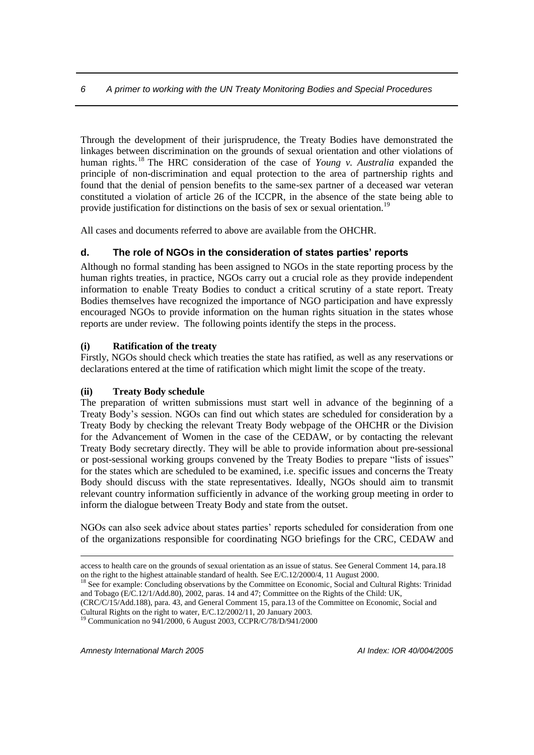Through the development of their jurisprudence, the Treaty Bodies have demonstrated the linkages between discrimination on the grounds of sexual orientation and other violations of human rights. <sup>18</sup> The HRC consideration of the case of *Young v. Australia* expanded the principle of non-discrimination and equal protection to the area of partnership rights and found that the denial of pension benefits to the same-sex partner of a deceased war veteran constituted a violation of article 26 of the ICCPR, in the absence of the state being able to provide justification for distinctions on the basis of sex or sexual orientation.<sup>19</sup>

All cases and documents referred to above are available from the OHCHR.

#### <span id="page-7-0"></span>**d. The role of NGOs in the consideration of states parties' reports**

Although no formal standing has been assigned to NGOs in the state reporting process by the human rights treaties, in practice, NGOs carry out a crucial role as they provide independent information to enable Treaty Bodies to conduct a critical scrutiny of a state report. Treaty Bodies themselves have recognized the importance of NGO participation and have expressly encouraged NGOs to provide information on the human rights situation in the states whose reports are under review. The following points identify the steps in the process.

#### **(i) Ratification of the treaty**

Firstly, NGOs should check which treaties the state has ratified, as well as any reservations or declarations entered at the time of ratification which might limit the scope of the treaty.

#### **(ii) Treaty Body schedule**

The preparation of written submissions must start well in advance of the beginning of a Treaty Body's session. NGOs can find out which states are scheduled for consideration by a Treaty Body by checking the relevant Treaty Body webpage of the OHCHR or the Division for the Advancement of Women in the case of the CEDAW, or by contacting the relevant Treaty Body secretary directly. They will be able to provide information about pre-sessional or post-sessional working groups convened by the Treaty Bodies to prepare "lists of issues" for the states which are scheduled to be examined, i.e. specific issues and concerns the Treaty Body should discuss with the state representatives. Ideally, NGOs should aim to transmit relevant country information sufficiently in advance of the working group meeting in order to inform the dialogue between Treaty Body and state from the outset.

NGOs can also seek advice about states parties' reports scheduled for consideration from one of the organizations responsible for coordinating NGO briefings for the CRC, CEDAW and

(CRC/C/15/Add.188), para. 43, and General Comment 15, para.13 of the Committee on Economic, Social and Cultural Rights on the right to water, E/C.12/2002/11, 20 January 2003.

<sup>19</sup> Communication no 941/2000, 6 August 2003, CCPR/C/78/D/941/2000

*Amnesty International March 2005 AI Index: IOR 40/004/2005*

<u>.</u>

access to health care on the grounds of sexual orientation as an issue of status. See General Comment 14, para.18 on the right to the highest attainable standard of health. See E/C.12/2000/4, 11 August 2000.

<sup>&</sup>lt;sup>18</sup> See for example: Concluding observations by the Committee on Economic, Social and Cultural Rights: Trinidad and Tobago (E/C.12/1/Add.80), 2002, paras. 14 and 47; Committee on the Rights of the Child: UK,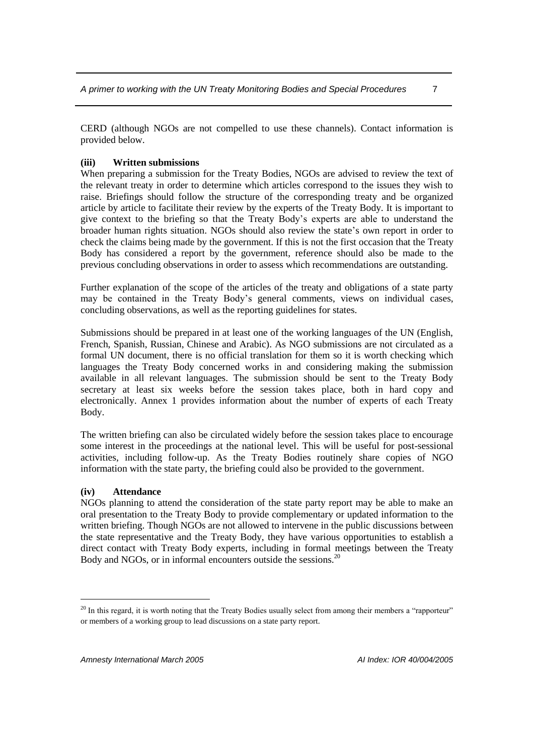CERD (although NGOs are not compelled to use these channels). Contact information is provided below.

#### **(iii) Written submissions**

When preparing a submission for the Treaty Bodies, NGOs are advised to review the text of the relevant treaty in order to determine which articles correspond to the issues they wish to raise. Briefings should follow the structure of the corresponding treaty and be organized article by article to facilitate their review by the experts of the Treaty Body. It is important to give context to the briefing so that the Treaty Body's experts are able to understand the broader human rights situation. NGOs should also review the state's own report in order to check the claims being made by the government. If this is not the first occasion that the Treaty Body has considered a report by the government, reference should also be made to the previous concluding observations in order to assess which recommendations are outstanding.

Further explanation of the scope of the articles of the treaty and obligations of a state party may be contained in the Treaty Body's general comments, views on individual cases, concluding observations, as well as the reporting guidelines for states.

Submissions should be prepared in at least one of the working languages of the UN (English, French, Spanish, Russian, Chinese and Arabic). As NGO submissions are not circulated as a formal UN document, there is no official translation for them so it is worth checking which languages the Treaty Body concerned works in and considering making the submission available in all relevant languages. The submission should be sent to the Treaty Body secretary at least six weeks before the session takes place, both in hard copy and electronically. Annex 1 provides information about the number of experts of each Treaty Body.

The written briefing can also be circulated widely before the session takes place to encourage some interest in the proceedings at the national level. This will be useful for post-sessional activities, including follow-up. As the Treaty Bodies routinely share copies of NGO information with the state party, the briefing could also be provided to the government.

#### **(iv) Attendance**

 $\overline{a}$ 

NGOs planning to attend the consideration of the state party report may be able to make an oral presentation to the Treaty Body to provide complementary or updated information to the written briefing. Though NGOs are not allowed to intervene in the public discussions between the state representative and the Treaty Body, they have various opportunities to establish a direct contact with Treaty Body experts, including in formal meetings between the Treaty Body and NGOs, or in informal encounters outside the sessions.<sup>20</sup>

 $20$  In this regard, it is worth noting that the Treaty Bodies usually select from among their members a "rapporteur" or members of a working group to lead discussions on a state party report.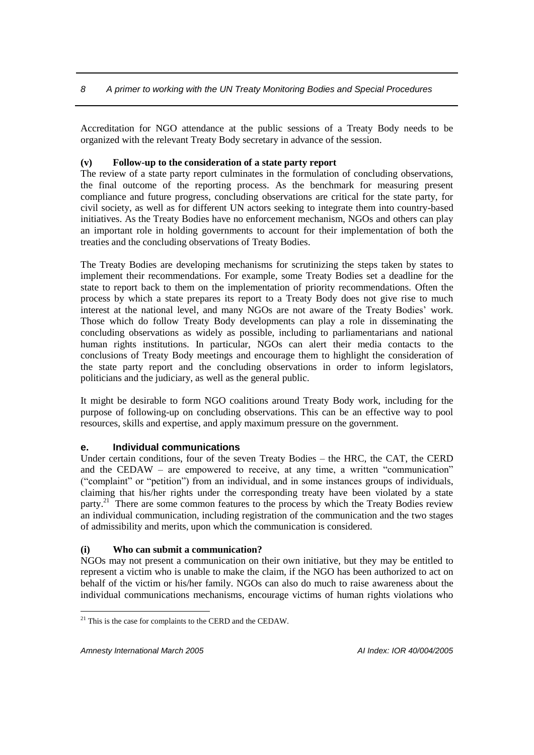Accreditation for NGO attendance at the public sessions of a Treaty Body needs to be organized with the relevant Treaty Body secretary in advance of the session.

#### **(v) Follow-up to the consideration of a state party report**

The review of a state party report culminates in the formulation of concluding observations, the final outcome of the reporting process. As the benchmark for measuring present compliance and future progress, concluding observations are critical for the state party, for civil society, as well as for different UN actors seeking to integrate them into country-based initiatives. As the Treaty Bodies have no enforcement mechanism, NGOs and others can play an important role in holding governments to account for their implementation of both the treaties and the concluding observations of Treaty Bodies.

The Treaty Bodies are developing mechanisms for scrutinizing the steps taken by states to implement their recommendations. For example, some Treaty Bodies set a deadline for the state to report back to them on the implementation of priority recommendations. Often the process by which a state prepares its report to a Treaty Body does not give rise to much interest at the national level, and many NGOs are not aware of the Treaty Bodies' work. Those which do follow Treaty Body developments can play a role in disseminating the concluding observations as widely as possible, including to parliamentarians and national human rights institutions. In particular, NGOs can alert their media contacts to the conclusions of Treaty Body meetings and encourage them to highlight the consideration of the state party report and the concluding observations in order to inform legislators, politicians and the judiciary, as well as the general public.

It might be desirable to form NGO coalitions around Treaty Body work, including for the purpose of following-up on concluding observations. This can be an effective way to pool resources, skills and expertise, and apply maximum pressure on the government.

#### <span id="page-9-0"></span>**e. Individual communications**

Under certain conditions, four of the seven Treaty Bodies – the HRC, the CAT, the CERD and the CEDAW – are empowered to receive, at any time, a written "communication" ("complaint" or "petition") from an individual, and in some instances groups of individuals, claiming that his/her rights under the corresponding treaty have been violated by a state party.<sup>21</sup> There are some common features to the process by which the Treaty Bodies review an individual communication, including registration of the communication and the two stages of admissibility and merits, upon which the communication is considered.

#### **(i) Who can submit a communication?**

NGOs may not present a communication on their own initiative, but they may be entitled to represent a victim who is unable to make the claim, if the NGO has been authorized to act on behalf of the victim or his/her family. NGOs can also do much to raise awareness about the individual communications mechanisms, encourage victims of human rights violations who

<sup>&</sup>lt;sup>21</sup> This is the case for complaints to the CERD and the CEDAW.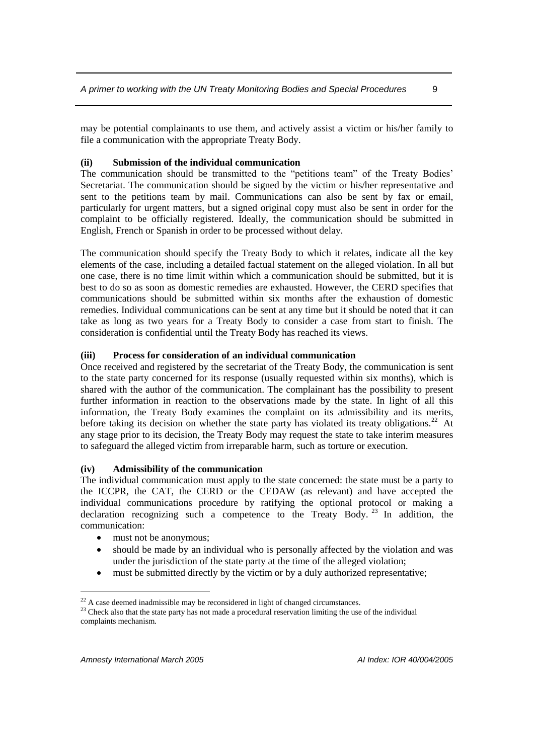may be potential complainants to use them, and actively assist a victim or his/her family to file a communication with the appropriate Treaty Body.

#### **(ii) Submission of the individual communication**

The communication should be transmitted to the "petitions team" of the Treaty Bodies' Secretariat. The communication should be signed by the victim or his/her representative and sent to the petitions team by mail. Communications can also be sent by fax or email, particularly for urgent matters, but a signed original copy must also be sent in order for the complaint to be officially registered. Ideally, the communication should be submitted in English, French or Spanish in order to be processed without delay.

The communication should specify the Treaty Body to which it relates, indicate all the key elements of the case, including a detailed factual statement on the alleged violation. In all but one case, there is no time limit within which a communication should be submitted, but it is best to do so as soon as domestic remedies are exhausted. However, the CERD specifies that communications should be submitted within six months after the exhaustion of domestic remedies. Individual communications can be sent at any time but it should be noted that it can take as long as two years for a Treaty Body to consider a case from start to finish. The consideration is confidential until the Treaty Body has reached its views.

#### **(iii) Process for consideration of an individual communication**

Once received and registered by the secretariat of the Treaty Body, the communication is sent to the state party concerned for its response (usually requested within six months), which is shared with the author of the communication. The complainant has the possibility to present further information in reaction to the observations made by the state. In light of all this information, the Treaty Body examines the complaint on its admissibility and its merits, before taking its decision on whether the state party has violated its treaty obligations.<sup>22</sup> At any stage prior to its decision, the Treaty Body may request the state to take interim measures to safeguard the alleged victim from irreparable harm, such as torture or execution.

#### **(iv) Admissibility of the communication**

The individual communication must apply to the state concerned: the state must be a party to the ICCPR, the CAT, the CERD or the CEDAW (as relevant) and have accepted the individual communications procedure by ratifying the optional protocol or making a declaration recognizing such a competence to the Treaty Body. <sup>23</sup> In addition, the communication:

- must not be anonymous;
- should be made by an individual who is personally affected by the violation and was under the jurisdiction of the state party at the time of the alleged violation;
- must be submitted directly by the victim or by a duly authorized representative;

 $^{22}$  A case deemed inadmissible may be reconsidered in light of changed circumstances.

<sup>&</sup>lt;sup>23</sup> Check also that the state party has not made a procedural reservation limiting the use of the individual complaints mechanism.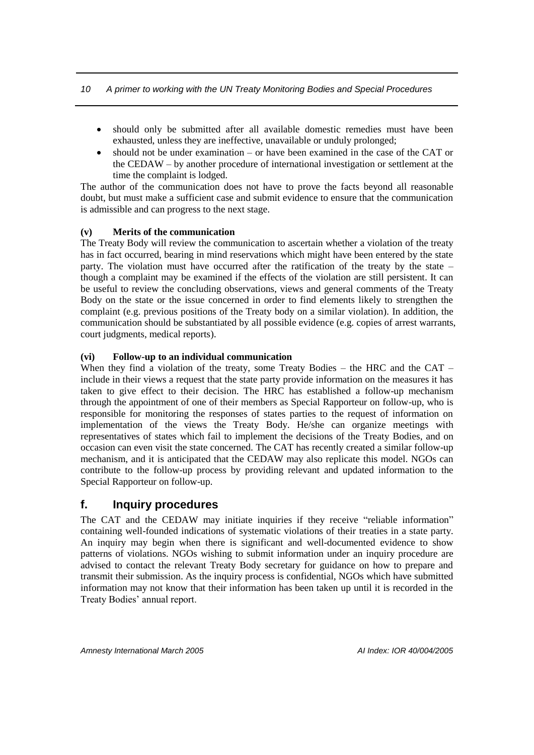- should only be submitted after all available domestic remedies must have been exhausted, unless they are ineffective, unavailable or unduly prolonged;
- should not be under examination or have been examined in the case of the CAT or the CEDAW – by another procedure of international investigation or settlement at the time the complaint is lodged.

The author of the communication does not have to prove the facts beyond all reasonable doubt, but must make a sufficient case and submit evidence to ensure that the communication is admissible and can progress to the next stage.

#### **(v) Merits of the communication**

The Treaty Body will review the communication to ascertain whether a violation of the treaty has in fact occurred, bearing in mind reservations which might have been entered by the state party. The violation must have occurred after the ratification of the treaty by the state – though a complaint may be examined if the effects of the violation are still persistent. It can be useful to review the concluding observations, views and general comments of the Treaty Body on the state or the issue concerned in order to find elements likely to strengthen the complaint (e.g. previous positions of the Treaty body on a similar violation). In addition, the communication should be substantiated by all possible evidence (e.g. copies of arrest warrants, court judgments, medical reports).

#### **(vi) Follow-up to an individual communication**

When they find a violation of the treaty, some Treaty Bodies – the HRC and the CAT – include in their views a request that the state party provide information on the measures it has taken to give effect to their decision. The HRC has established a follow-up mechanism through the appointment of one of their members as Special Rapporteur on follow-up, who is responsible for monitoring the responses of states parties to the request of information on implementation of the views the Treaty Body. He/she can organize meetings with representatives of states which fail to implement the decisions of the Treaty Bodies, and on occasion can even visit the state concerned. The CAT has recently created a similar follow-up mechanism, and it is anticipated that the CEDAW may also replicate this model. NGOs can contribute to the follow-up process by providing relevant and updated information to the Special Rapporteur on follow-up.

### <span id="page-11-0"></span>**f. Inquiry procedures**

The [CAT](http://www.ohchr.org/english/bodies/cat/index.htm) and the [CEDAW](http://www.un.org/womenwatch/daw/cedaw/) may initiate inquiries if they receive "reliable information" containing well-founded indications of systematic violations of their treaties in a state party. An inquiry may begin when there is significant and well-documented evidence to show patterns of violations. NGOs wishing to submit information under an inquiry procedure are advised to contact the relevant Treaty Body secretary for guidance on how to prepare and transmit their submission. As the inquiry process is confidential, NGOs which have submitted information may not know that their information has been taken up until it is recorded in the Treaty Bodies' annual report.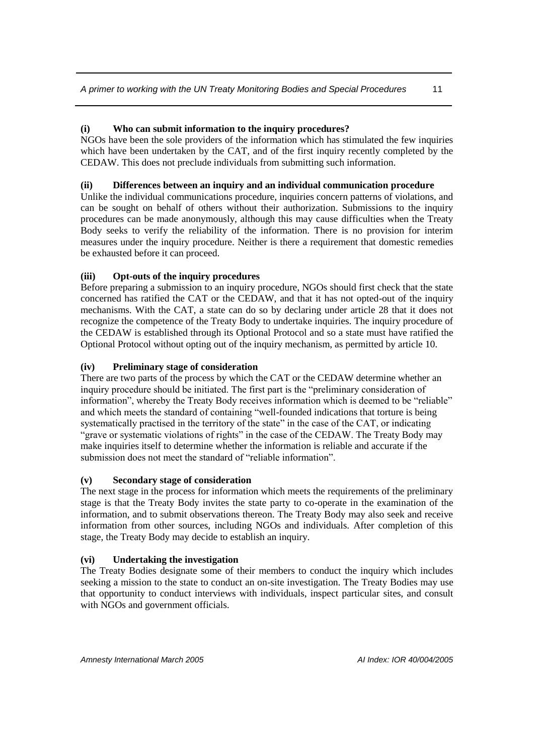#### **(i) Who can submit information to the inquiry procedures?**

NGOs have been the sole providers of the information which has stimulated the few inquiries which have been undertaken by the CAT, and of the first inquiry recently completed by the CEDAW. This does not preclude individuals from submitting such information.

#### **(ii) Differences between an inquiry and an individual communication procedure**

Unlike the individual communications procedure, inquiries concern patterns of violations, and can be sought on behalf of others without their authorization. Submissions to the inquiry procedures can be made anonymously, although this may cause difficulties when the Treaty Body seeks to verify the reliability of the information. There is no provision for interim measures under the inquiry procedure. Neither is there a requirement that domestic remedies be exhausted before it can proceed.

#### **(iii) Opt-outs of the inquiry procedures**

Before preparing a submission to an inquiry procedure, NGOs should first check that the state concerned has ratified the CAT or the CEDAW, and that it has not opted-out of the inquiry mechanisms. With the CAT, a state can do so by declaring under article 28 that it does not recognize the competence of the Treaty Body to undertake inquiries. The inquiry procedure of the CEDAW is established through its Optional Protocol and so a state must have ratified the Optional Protocol without opting out of the inquiry mechanism, as permitted by article 10.

#### **(iv) Preliminary stage of consideration**

There are two parts of the process by which the CAT or the CEDAW determine whether an inquiry procedure should be initiated. The first part is the "preliminary consideration of information", whereby the Treaty Body receives information which is deemed to be "reliable" and which meets the standard of containing "well-founded indications that torture is being systematically practised in the territory of the state" in the case of the CAT, or indicating "grave or systematic violations of rights" in the case of the CEDAW. The Treaty Body may make inquiries itself to determine whether the information is reliable and accurate if the submission does not meet the standard of "reliable information".

#### **(v) Secondary stage of consideration**

The next stage in the process for information which meets the requirements of the preliminary stage is that the Treaty Body invites the state party to co-operate in the examination of the information, and to submit observations thereon. The Treaty Body may also seek and receive information from other sources, including NGOs and individuals. After completion of this stage, the Treaty Body may decide to establish an inquiry.

#### **(vi) Undertaking the investigation**

The Treaty Bodies designate some of their members to conduct the inquiry which includes seeking a mission to the state to conduct an on-site investigation. The Treaty Bodies may use that opportunity to conduct interviews with individuals, inspect particular sites, and consult with NGOs and government officials.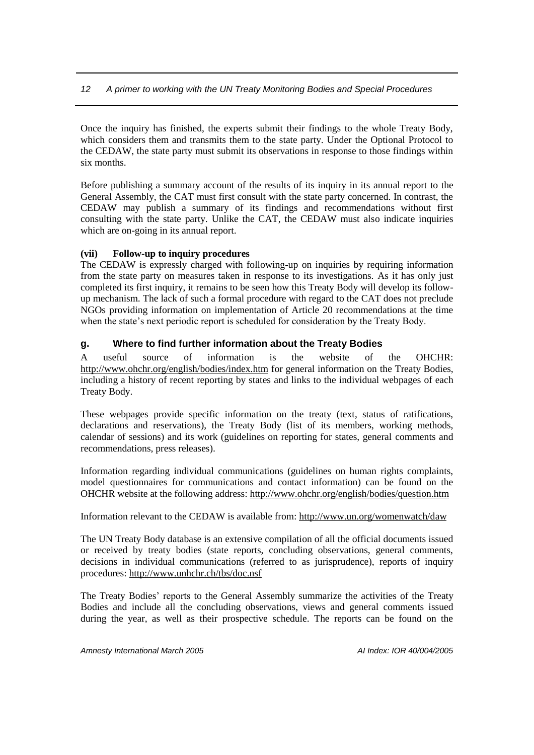Once the inquiry has finished, the experts submit their findings to the whole Treaty Body, which considers them and transmits them to the state party. Under the Optional Protocol to the CEDAW, the state party must submit its observations in response to those findings within six months.

Before publishing a summary account of the results of its inquiry in its annual report to the General Assembly, the CAT must first consult with the state party concerned. In contrast, the CEDAW may publish a summary of its findings and recommendations without first consulting with the state party. Unlike the CAT, the CEDAW must also indicate inquiries which are on-going in its annual report.

#### **(vii) Follow-up to inquiry procedures**

The CEDAW is expressly charged with following-up on inquiries by requiring information from the state party on measures taken in response to its investigations. As it has only just completed its first inquiry, it remains to be seen how this Treaty Body will develop its followup mechanism. The lack of such a formal procedure with regard to the CAT does not preclude NGOs providing information on implementation of Article 20 recommendations at the time when the state's next periodic report is scheduled for consideration by the Treaty Body.

#### <span id="page-13-0"></span>**g. Where to find further information about the Treaty Bodies**

A useful source of information is the website of the OHCHR: <http://www.ohchr.org/english/bodies/index.htm> for general information on the Treaty Bodies, including a history of recent reporting by states and links to the individual webpages of each Treaty Body.

These webpages provide specific information on the treaty (text, status of ratifications, declarations and reservations), the Treaty Body (list of its members, working methods, calendar of sessions) and its work (guidelines on reporting for states, general comments and recommendations, press releases).

Information regarding individual communications (guidelines on human rights complaints, model questionnaires for communications and contact information) can be found on the OHCHR website at the following address[: http://www.ohchr.org/english/bodies/question.htm](http://www.ohchr.org/english/bodies/question.htm)

Information relevant to the CEDAW is available from: <http://www.un.org/womenwatch/daw>

The UN Treaty Body database is an extensive compilation of all the official documents issued or received by treaty bodies (state reports, concluding observations, general comments, decisions in individual communications (referred to as jurisprudence), reports of inquiry procedures:<http://www.unhchr.ch/tbs/doc.nsf>

The Treaty Bodies' reports to the General Assembly summarize the activities of the Treaty Bodies and include all the concluding observations, views and general comments issued during the year, as well as their prospective schedule. The reports can be found on the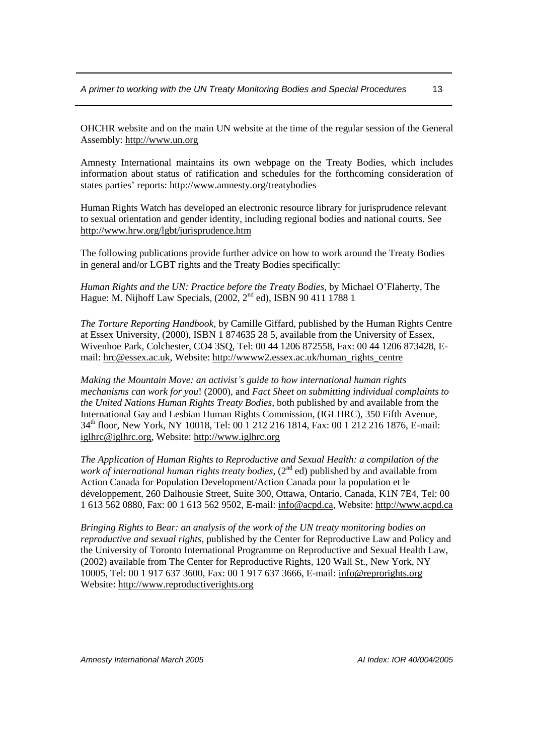OHCHR website and on the main UN website at the time of the regular session of the General Assembly: http:/[/www.un.org](http://www.un.org/)

Amnesty International maintains its own webpage on the Treaty Bodies, which includes information about status of ratification and schedules for the forthcoming consideration of states parties' reports:<http://www.amnesty.org/treatybodies>

Human Rights Watch has developed an electronic resource library for jurisprudence relevant to sexual orientation and gender identity, including regional bodies and national courts. See <http://www.hrw.org/lgbt/jurisprudence.htm>

The following publications provide further advice on how to work around the Treaty Bodies in general and/or LGBT rights and the Treaty Bodies specifically:

*Human Rights and the UN: Practice before the Treaty Bodies,* by Michael O'Flaherty, The Hague: M. Nijhoff Law Specials,  $(2002, 2<sup>nd</sup> ed)$ , ISBN 90 411 1788 1

*The Torture Reporting Handbook,* by Camille Giffard, published by the Human Rights Centre at Essex University, (2000), ISBN 1 874635 28 5, available from the University of Essex, Wivenhoe Park, Colchester, CO4 3SQ, Tel: 00 44 1206 872558, Fax: 00 44 1206 873428, Email: [hrc@essex.ac.uk,](mailto:hrc@essex.ac.uk) Website: [http://wwww2.essex.ac.uk/human\\_rights\\_centre](http://wwww2.essex.ac.uk/human_rights_centre)

*Making the Mountain Move: an activist's guide to how international human rights mechanisms can work for you*! (2000), and *Fact Sheet on submitting individual complaints to the United Nations Human Rights Treaty Bodies*, both published by and available from the International Gay and Lesbian Human Rights Commission, (IGLHRC), 350 Fifth Avenue, 34th floor, New York, NY 10018, Tel: 00 1 212 216 1814, Fax: 00 1 212 216 1876, E-mail: [iglhrc@iglhrc.org,](mailto:iglhrc@iglhrc.org) Website: [http://www.iglhrc.org](http://www.iglhrc.org/)

*The Application of Human Rights to Reproductive and Sexual Health: a compilation of the work of international human rights treaty bodies*, (2<sup>nd</sup> ed) published by and available from Action Canada for Population Development/Action Canada pour la population et le développement, 260 Dalhousie Street, Suite 300, Ottawa, Ontario, Canada, K1N 7E4, Tel: 00 1 613 562 0880, Fax: 00 1 613 562 9502, E-mail: [info@acpd.ca,](mailto:info@acpd.ca) Website[: http://www.acpd.ca](http://www.acpd.ca/)

*Bringing Rights to Bear: an analysis of the work of the UN treaty monitoring bodies on reproductive and sexual rights*, published by the Center for Reproductive Law and Policy and the University of Toronto International Programme on Reproductive and Sexual Health Law, (2002) available from The Center for Reproductive Rights, 120 Wall St., New York, NY 10005, Tel: 00 1 917 637 3600, Fax: 00 1 917 637 3666, E-mail: [info@reprorights.org](mailto:info@reprorights.org) Website[: http://www.reproductiverights.org](http://www.reproductiverights.org/)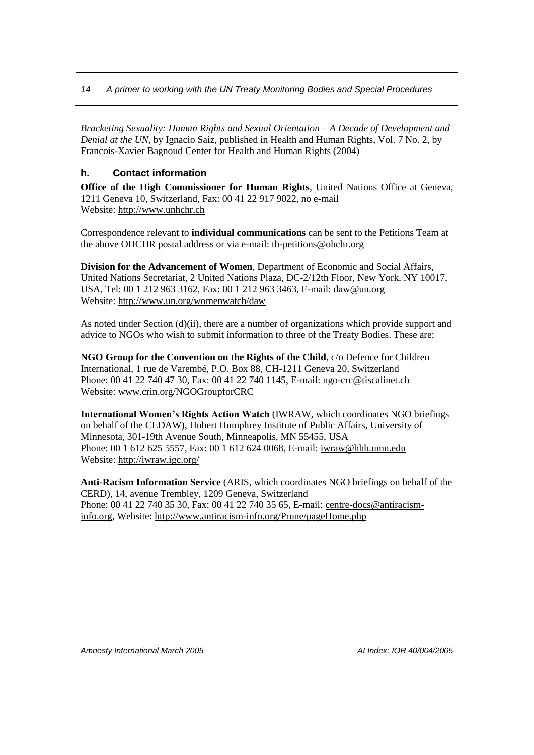*Bracketing Sexuality: Human Rights and Sexual Orientation – A Decade of Development and Denial at the UN*, by Ignacio Saiz, published in Health and Human Rights, Vol. 7 No. 2, by Francois-Xavier Bagnoud Center for Health and Human Rights (2004)

#### <span id="page-15-0"></span>**h. Contact information**

**Office of the High Commissioner for Human Rights**, United Nations Office at Geneva, 1211 Geneva 10, Switzerland, Fax: 00 41 22 917 9022, no e-mail Website[: http://www.unhchr.ch](http://www.unhchr.ch/)

Correspondence relevant to **individual communications** can be sent to the Petitions Team at the above OHCHR postal address or via e-mail: [tb-petitions@ohchr.org](mailto:tb-petitions@ohchr.org)

**Division for the Advancement of Women**, Department of Economic and Social Affairs, United Nations Secretariat, 2 United Nations Plaza, DC-2/12th Floor, New York, NY 10017, USA, Tel: 00 1 212 963 3162, Fax: 00 1 212 963 3463, E-mail: [daw@un.org](mailto:daw@un.org) Website[: http://www.un.org/womenwatch/daw](http://www.un.org/womenwatch/daw)

As noted under Section (d)(ii), there are a number of organizations which provide support and advice to NGOs who wish to submit information to three of the Treaty Bodies. These are:

**NGO Group for the Convention on the Rights of the Child**, c/o Defence for Children International, 1 rue de Varembé, P.O. Box 88, CH-1211 Geneva 20, Switzerland Phone: 00 41 22 740 47 30, Fax: 00 41 22 740 1145, E-mail: [ngo-crc@tiscalinet.ch](mailto:ngo-crc@tiscalinet.ch) Website[: www.crin.org/NGOGroupforCRC](http://www.crin.org/NGOGroupforCRC)

**International Women's Rights Action Watch** (IWRAW, which coordinates NGO briefings on behalf of the CEDAW), Hubert Humphrey Institute of Public Affairs, University of Minnesota, 301-19th Avenue South, Minneapolis, MN 55455, USA Phone: 00 1 612 625 5557, Fax: 00 1 612 624 0068, E-mail: [iwraw@hhh.umn.edu](mailto:iwraw@hhh.umn.edu) Website[: http://iwraw.igc.org/](http://iwraw.igc.org/)

**Anti-Racism Information Service** (ARIS, which coordinates NGO briefings on behalf of the CERD), 14, avenue Trembley, 1209 Geneva, Switzerland Phone: 00 41 22 740 35 30, Fax: 00 41 22 740 35 65, E-mail[: centre-docs@antiracism](mailto:centre-docs@antiracism-info.org)[info.org,](mailto:centre-docs@antiracism-info.org) Website:<http://www.antiracism-info.org/Prune/pageHome.php>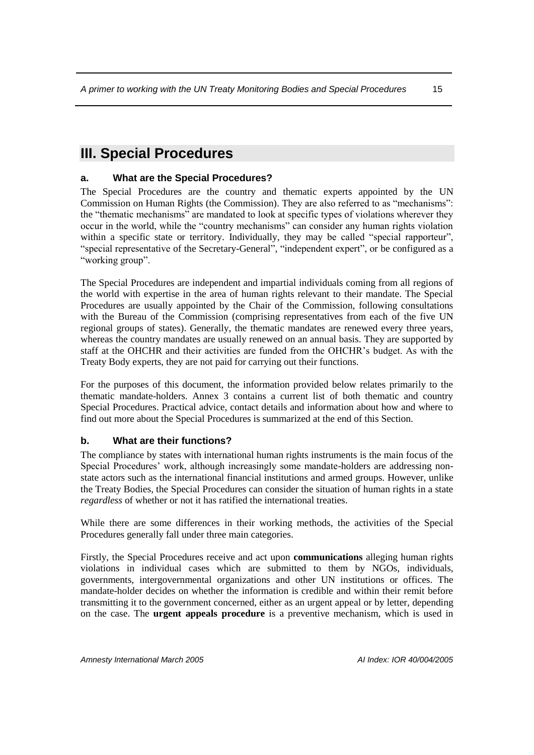# <span id="page-16-0"></span>**III. Special Procedures**

### <span id="page-16-1"></span>**a. What are the Special Procedures?**

The Special Procedures are the country and thematic experts appointed by the UN Commission on Human Rights (the Commission). They are also referred to as "mechanisms": the "thematic mechanisms" are mandated to look at specific types of violations wherever they occur in the world, while the "country mechanisms" can consider any human rights violation within a specific state or territory. Individually, they may be called "special rapporteur", "special representative of the Secretary-General", "independent expert", or be configured as a "working group".

The Special Procedures are independent and impartial individuals coming from all regions of the world with expertise in the area of human rights relevant to their mandate. The Special Procedures are usually appointed by the Chair of the Commission, following consultations with the Bureau of the Commission (comprising representatives from each of the five UN regional groups of states). Generally, the thematic mandates are renewed every three years, whereas the country mandates are usually renewed on an annual basis. They are supported by staff at the OHCHR and their activities are funded from the OHCHR's budget. As with the Treaty Body experts, they are not paid for carrying out their functions.

For the purposes of this document, the information provided below relates primarily to the thematic mandate-holders. Annex 3 contains a current list of both thematic and country Special Procedures. Practical advice, contact details and information about how and where to find out more about the Special Procedures is summarized at the end of this Section.

#### <span id="page-16-2"></span>**b. What are their functions?**

The compliance by states with international human rights instruments is the main focus of the Special Procedures' work, although increasingly some mandate-holders are addressing nonstate actors such as the international financial institutions and armed groups. However, unlike the Treaty Bodies, the Special Procedures can consider the situation of human rights in a state *regardless* of whether or not it has ratified the international treaties.

While there are some differences in their working methods, the activities of the Special Procedures generally fall under three main categories.

Firstly, the Special Procedures receive and act upon **communications** alleging human rights violations in individual cases which are submitted to them by NGOs, individuals, governments, intergovernmental organizations and other UN institutions or offices. The mandate-holder decides on whether the information is credible and within their remit before transmitting it to the government concerned, either as an urgent appeal or by letter, depending on the case. The **urgent appeals procedure** is a preventive mechanism, which is used in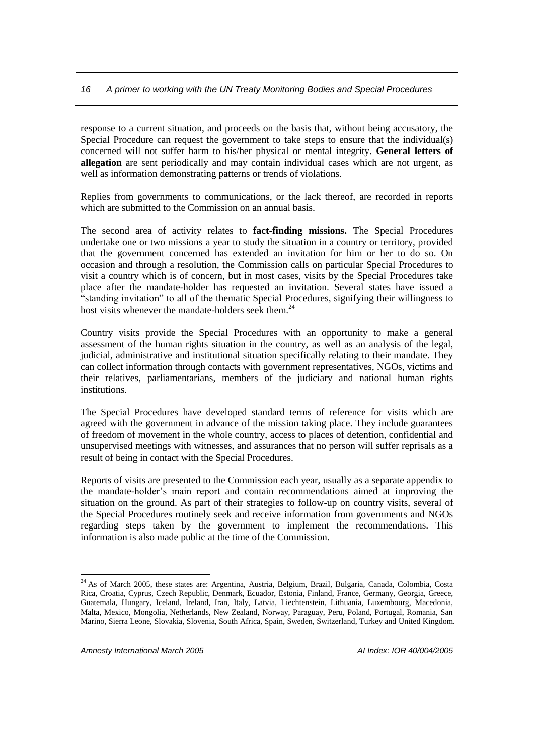response to a current situation, and proceeds on the basis that, without being accusatory, the Special Procedure can request the government to take steps to ensure that the individual(s) concerned will not suffer harm to his/her physical or mental integrity. **General letters of allegation** are sent periodically and may contain individual cases which are not urgent, as well as information demonstrating patterns or trends of violations.

Replies from governments to communications, or the lack thereof, are recorded in reports which are submitted to the Commission on an annual basis.

The second area of activity relates to **fact-finding missions.** The Special Procedures undertake one or two missions a year to study the situation in a country or territory, provided that the government concerned has extended an invitation for him or her to do so. On occasion and through a resolution, the Commission calls on particular Special Procedures to visit a country which is of concern, but in most cases, visits by the Special Procedures take place after the mandate-holder has requested an invitation. Several states have issued a "standing invitation" to all of the thematic Special Procedures, signifying their willingness to host visits whenever the mandate-holders seek them.<sup>24</sup>

Country visits provide the Special Procedures with an opportunity to make a general assessment of the human rights situation in the country, as well as an analysis of the legal, judicial, administrative and institutional situation specifically relating to their mandate. They can collect information through contacts with government representatives, NGOs, victims and their relatives, parliamentarians, members of the judiciary and national human rights institutions.

The Special Procedures have developed standard terms of reference for visits which are agreed with the government in advance of the mission taking place. They include guarantees of freedom of movement in the whole country, access to places of detention, confidential and unsupervised meetings with witnesses, and assurances that no person will suffer reprisals as a result of being in contact with the Special Procedures.

Reports of visits are presented to the Commission each year, usually as a separate appendix to the mandate-holder's main report and contain recommendations aimed at improving the situation on the ground. As part of their strategies to follow-up on country visits, several of the Special Procedures routinely seek and receive information from governments and NGOs regarding steps taken by the government to implement the recommendations. This information is also made public at the time of the Commission.

<sup>&</sup>lt;sup>24</sup> As of March 2005, these states are: Argentina, Austria, Belgium, Brazil, Bulgaria, Canada, Colombia, Costa Rica, Croatia, Cyprus, Czech Republic, Denmark, Ecuador, Estonia, Finland, France, Germany, Georgia, Greece, Guatemala, Hungary, Iceland, Ireland, Iran, Italy, Latvia, Liechtenstein, Lithuania, Luxembourg, Macedonia, Malta, Mexico, Mongolia, Netherlands, New Zealand, Norway, Paraguay, Peru, Poland, Portugal, Romania, San Marino, Sierra Leone, Slovakia, Slovenia, South Africa, Spain, Sweden, Switzerland, Turkey and United Kingdom.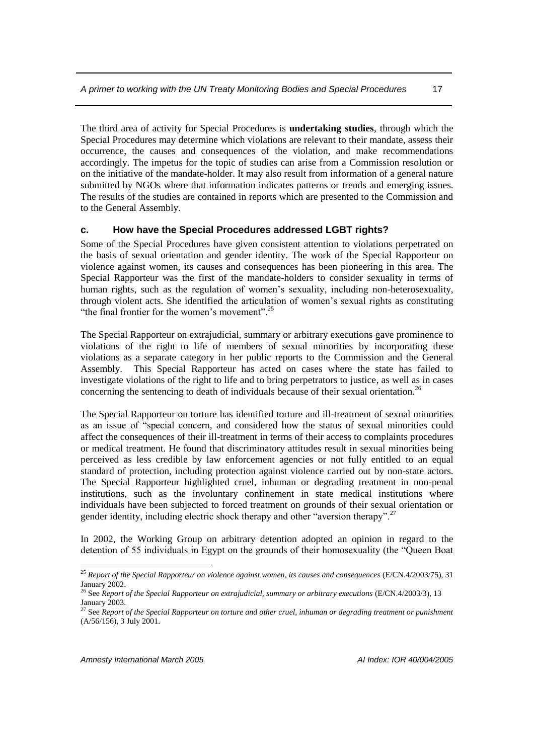The third area of activity for Special Procedures is **undertaking studies**, through which the Special Procedures may determine which violations are relevant to their mandate, assess their occurrence, the causes and consequences of the violation, and make recommendations accordingly. The impetus for the topic of studies can arise from a Commission resolution or on the initiative of the mandate-holder. It may also result from information of a general nature submitted by NGOs where that information indicates patterns or trends and emerging issues. The results of the studies are contained in reports which are presented to the Commission and to the General Assembly.

#### <span id="page-18-0"></span>**c. How have the Special Procedures addressed LGBT rights?**

Some of the Special Procedures have given consistent attention to violations perpetrated on the basis of sexual orientation and gender identity. The work of the Special Rapporteur on violence against women, its causes and consequences has been pioneering in this area. The Special Rapporteur was the first of the mandate-holders to consider sexuality in terms of human rights, such as the regulation of women's sexuality, including non-heterosexuality, through violent acts. She identified the articulation of women's sexual rights as constituting "the final frontier for the women's movement".<sup>25</sup>

The Special Rapporteur on extrajudicial, summary or arbitrary executions gave prominence to violations of the right to life of members of sexual minorities by incorporating these violations as a separate category in her public reports to the Commission and the General Assembly. This Special Rapporteur has acted on cases where the state has failed to investigate violations of the right to life and to bring perpetrators to justice, as well as in cases concerning the sentencing to death of individuals because of their sexual orientation.<sup>26</sup>

The Special Rapporteur on torture has identified torture and ill-treatment of sexual minorities as an issue of "special concern, and considered how the status of sexual minorities could affect the consequences of their ill-treatment in terms of their access to complaints procedures or medical treatment. He found that discriminatory attitudes result in sexual minorities being perceived as less credible by law enforcement agencies or not fully entitled to an equal standard of protection, including protection against violence carried out by non-state actors. The Special Rapporteur highlighted cruel, inhuman or degrading treatment in non-penal institutions, such as the involuntary confinement in state medical institutions where individuals have been subjected to forced treatment on grounds of their sexual orientation or gender identity, including electric shock therapy and other "aversion therapy".<sup>27</sup>

In 2002, the Working Group on arbitrary detention adopted an opinion in regard to the detention of 55 individuals in Egypt on the grounds of their homosexuality (the "Queen Boat

<sup>&</sup>lt;sup>25</sup> Report of the Special Rapporteur on violence against women, its causes and consequences (E/CN.4/2003/75), 31 January 2002.

<sup>&</sup>lt;sup>26</sup> See *Report of the Special Rapporteur on extrajudicial, summary or arbitrary executions (E/CN.4/2003/3), 13* January 2003.

<sup>27</sup> See *Report of the Special Rapporteur on torture and other cruel, inhuman or degrading treatment or punishment*  (A/56/156), 3 July 2001.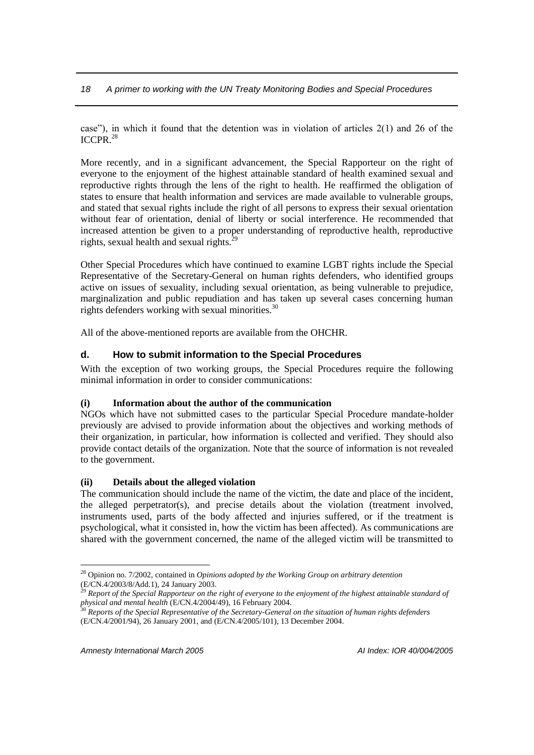case"), in which it found that the detention was in violation of articles  $2(1)$  and 26 of the ICCPR.<sup>28</sup>

More recently, and in a significant advancement, the Special Rapporteur on the right of everyone to the enjoyment of the highest attainable standard of health examined sexual and reproductive rights through the lens of the right to health. He reaffirmed the obligation of states to ensure that health information and services are made available to vulnerable groups, and stated that sexual rights include the right of all persons to express their sexual orientation without fear of orientation, denial of liberty or social interference. He recommended that increased attention be given to a proper understanding of reproductive health, reproductive rights, sexual health and sexual rights. $2^{2}$ 

Other Special Procedures which have continued to examine LGBT rights include the Special Representative of the Secretary-General on human rights defenders, who identified groups active on issues of sexuality, including sexual orientation, as being vulnerable to prejudice, marginalization and public repudiation and has taken up several cases concerning human rights defenders working with sexual minorities.<sup>30</sup>

All of the above-mentioned reports are available from the OHCHR.

#### <span id="page-19-0"></span>**d. How to submit information to the Special Procedures**

With the exception of two working groups, the Special Procedures require the following minimal information in order to consider communications:

#### **(i) Information about the author of the communication**

NGOs which have not submitted cases to the particular Special Procedure mandate-holder previously are advised to provide information about the objectives and working methods of their organization, in particular, how information is collected and verified. They should also provide contact details of the organization. Note that the source of information is not revealed to the government.

#### **(ii) Details about the alleged violation**

The communication should include the name of the victim, the date and place of the incident, the alleged perpetrator(s), and precise details about the violation (treatment involved, instruments used, parts of the body affected and injuries suffered, or if the treatment is psychological, what it consisted in, how the victim has been affected). As communications are shared with the government concerned, the name of the alleged victim will be transmitted to

<sup>28</sup> Opinion no. 7/2002, contained in *Opinions adopted by the Working Group on arbitrary detention*  (E/CN.4/2003/8/Add.1), 24 January 2003.

<sup>29</sup> *Report of the Special Rapporteur on the right of everyone to the enjoyment of the highest attainable standard of physical and mental health* (E/CN.4/2004/49), 16 February 2004.

<sup>30</sup> *Reports of the Special Representative of the Secretary-General on the situation of human rights defenders*  (E/CN.4/2001/94), 26 January 2001, and (E/CN.4/2005/101), 13 December 2004.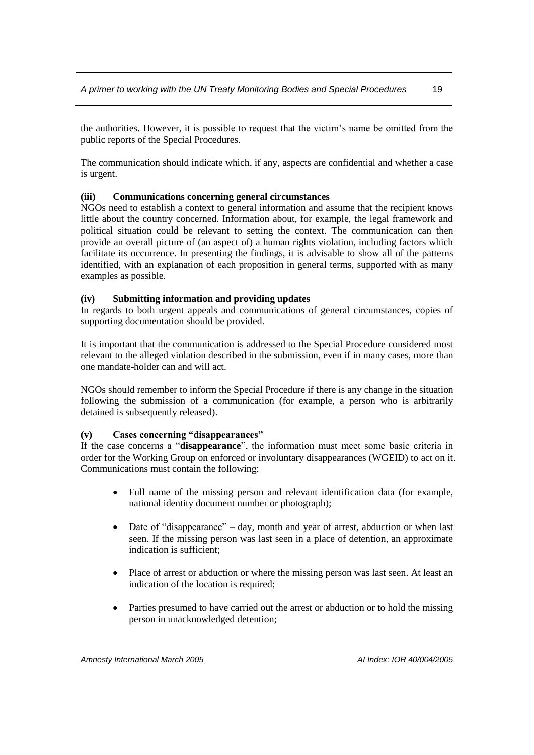the authorities. However, it is possible to request that the victim's name be omitted from the public reports of the Special Procedures.

The communication should indicate which, if any, aspects are confidential and whether a case is urgent.

#### **(iii) Communications concerning general circumstances**

NGOs need to establish a context to general information and assume that the recipient knows little about the country concerned. Information about, for example, the legal framework and political situation could be relevant to setting the context. The communication can then provide an overall picture of (an aspect of) a human rights violation, including factors which facilitate its occurrence. In presenting the findings, it is advisable to show all of the patterns identified, with an explanation of each proposition in general terms, supported with as many examples as possible.

#### **(iv) Submitting information and providing updates**

In regards to both urgent appeals and communications of general circumstances, copies of supporting documentation should be provided.

It is important that the communication is addressed to the Special Procedure considered most relevant to the alleged violation described in the submission, even if in many cases, more than one mandate-holder can and will act.

NGOs should remember to inform the Special Procedure if there is any change in the situation following the submission of a communication (for example, a person who is arbitrarily detained is subsequently released).

#### **(v) Cases concerning "disappearances"**

If the case concerns a "**disappearance**", the information must meet some basic criteria in order for the Working Group on enforced or involuntary disappearances (WGEID) to act on it. Communications must contain the following:

- Full name of the missing person and relevant identification data (for example, national identity document number or photograph);
- Date of "disappearance" day, month and year of arrest, abduction or when last seen. If the missing person was last seen in a place of detention, an approximate indication is sufficient;
- Place of arrest or abduction or where the missing person was last seen. At least an indication of the location is required;
- Parties presumed to have carried out the arrest or abduction or to hold the missing person in unacknowledged detention;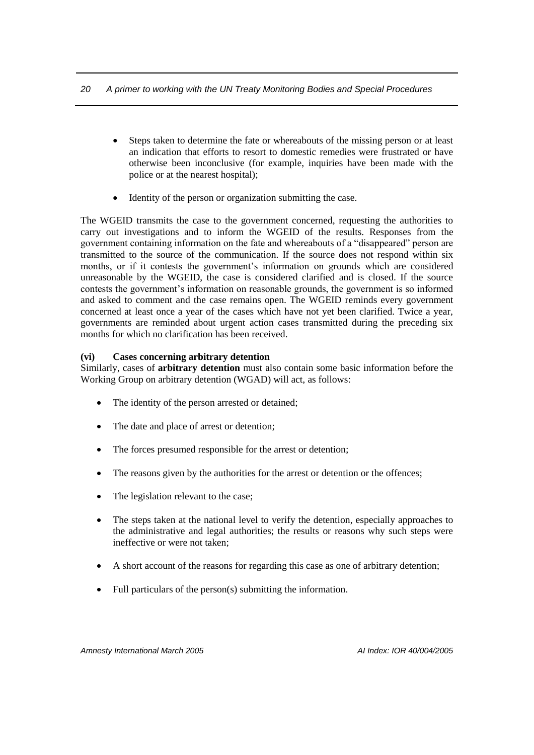- Steps taken to determine the fate or whereabouts of the missing person or at least an indication that efforts to resort to domestic remedies were frustrated or have otherwise been inconclusive (for example, inquiries have been made with the police or at the nearest hospital);
- Identity of the person or organization submitting the case.

The WGEID transmits the case to the government concerned, requesting the authorities to carry out investigations and to inform the WGEID of the results. Responses from the government containing information on the fate and whereabouts of a "disappeared" person are transmitted to the source of the communication. If the source does not respond within six months, or if it contests the government's information on grounds which are considered unreasonable by the WGEID, the case is considered clarified and is closed. If the source contests the government's information on reasonable grounds, the government is so informed and asked to comment and the case remains open. The WGEID reminds every government concerned at least once a year of the cases which have not yet been clarified. Twice a year, governments are reminded about urgent action cases transmitted during the preceding six months for which no clarification has been received.

#### **(vi) Cases concerning arbitrary detention**

Similarly, cases of **arbitrary detention** must also contain some basic information before the Working Group on arbitrary detention (WGAD) will act, as follows:

- The identity of the person arrested or detained;
- The date and place of arrest or detention;
- The forces presumed responsible for the arrest or detention;
- The reasons given by the authorities for the arrest or detention or the offences;
- The legislation relevant to the case;
- The steps taken at the national level to verify the detention, especially approaches to the administrative and legal authorities; the results or reasons why such steps were ineffective or were not taken;
- A short account of the reasons for regarding this case as one of arbitrary detention;
- Full particulars of the person(s) submitting the information.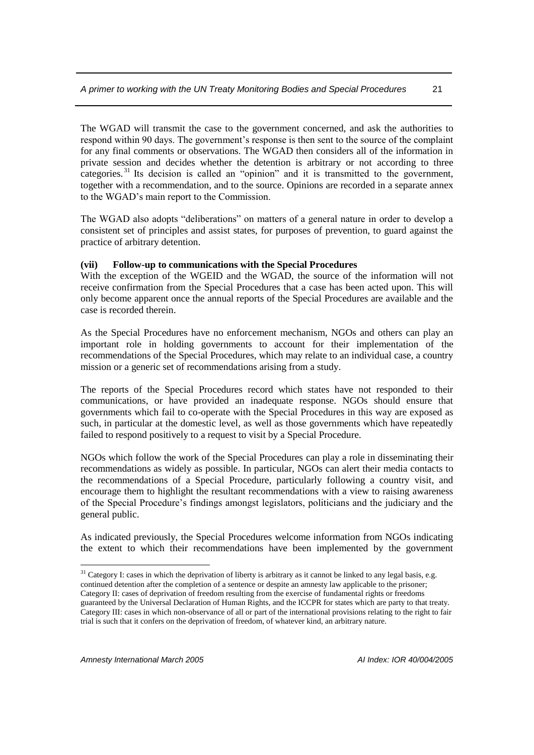The WGAD will transmit the case to the government concerned, and ask the authorities to respond within 90 days. The government's response is then sent to the source of the complaint for any final comments or observations. The WGAD then considers all of the information in private session and decides whether the detention is arbitrary or not according to three categories. <sup>31</sup> Its decision is called an "opinion" and it is transmitted to the government, together with a recommendation, and to the source. Opinions are recorded in a separate annex to the WGAD's main report to the Commission.

The WGAD also adopts "deliberations" on matters of a general nature in order to develop a consistent set of principles and assist states, for purposes of prevention, to guard against the practice of arbitrary detention.

#### **(vii) Follow-up to communications with the Special Procedures**

With the exception of the WGEID and the WGAD, the source of the information will not receive confirmation from the Special Procedures that a case has been acted upon. This will only become apparent once the annual reports of the Special Procedures are available and the case is recorded therein.

As the Special Procedures have no enforcement mechanism, NGOs and others can play an important role in holding governments to account for their implementation of the recommendations of the Special Procedures, which may relate to an individual case, a country mission or a generic set of recommendations arising from a study.

The reports of the Special Procedures record which states have not responded to their communications, or have provided an inadequate response. NGOs should ensure that governments which fail to co-operate with the Special Procedures in this way are exposed as such, in particular at the domestic level, as well as those governments which have repeatedly failed to respond positively to a request to visit by a Special Procedure.

NGOs which follow the work of the Special Procedures can play a role in disseminating their recommendations as widely as possible. In particular, NGOs can alert their media contacts to the recommendations of a Special Procedure, particularly following a country visit, and encourage them to highlight the resultant recommendations with a view to raising awareness of the Special Procedure's findings amongst legislators, politicians and the judiciary and the general public.

As indicated previously, the Special Procedures welcome information from NGOs indicating the extent to which their recommendations have been implemented by the government

 $31$  Category I: cases in which the deprivation of liberty is arbitrary as it cannot be linked to any legal basis, e.g. continued detention after the completion of a sentence or despite an amnesty law applicable to the prisoner; Category II: cases of deprivation of freedom resulting from the exercise of fundamental rights or freedoms guaranteed by the Universal Declaration of Human Rights, and the ICCPR for states which are party to that treaty. Category III: cases in which non-observance of all or part of the international provisions relating to the right to fair trial is such that it confers on the deprivation of freedom, of whatever kind, an arbitrary nature.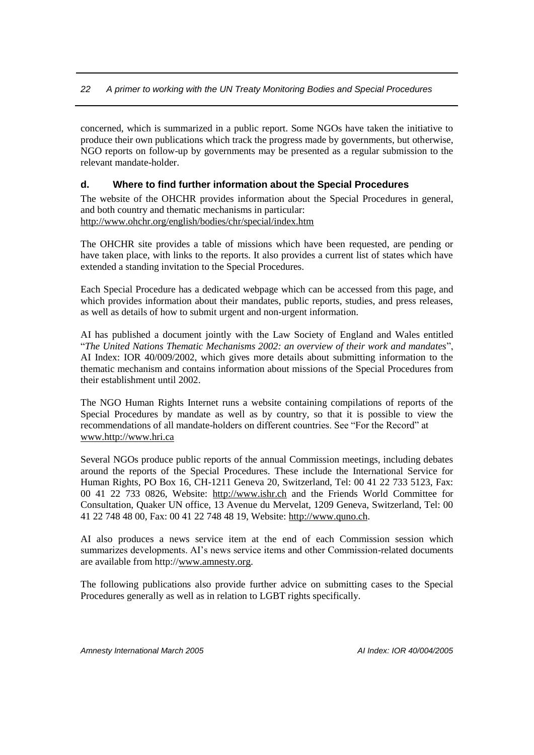concerned, which is summarized in a public report. Some NGOs have taken the initiative to produce their own publications which track the progress made by governments, but otherwise, NGO reports on follow-up by governments may be presented as a regular submission to the relevant mandate-holder.

#### <span id="page-23-0"></span>**d. Where to find further information about the Special Procedures**

The website of the OHCHR provides information about the Special Procedures in general, and both country and thematic mechanisms in particular: <http://www.ohchr.org/english/bodies/chr/special/index.htm>

The OHCHR site provides a table of missions which have been requested, are pending or have taken place, with links to the reports. It also provides a current list of states which have extended a standing invitation to the Special Procedures.

Each Special Procedure has a dedicated webpage which can be accessed from this page, and which provides information about their mandates, public reports, studies, and press releases, as well as details of how to submit urgent and non-urgent information.

AI has published a document jointly with the Law Society of England and Wales entitled "*The United Nations Thematic Mechanisms 2002: an overview of their work and mandates*", AI Index: IOR 40/009/2002, which gives more details about submitting information to the thematic mechanism and contains information about missions of the Special Procedures from their establishment until 2002.

The NGO Human Rights Internet runs a website containing compilations of reports of the Special Procedures by mandate as well as by country, so that it is possible to view the recommendations of all mandate-holders on different countries. See "For the Record" at [www.http://www.hri.ca](http://www.http/www.hri.ca)

Several NGOs produce public reports of the annual Commission meetings, including debates around the reports of the Special Procedures. These include the International Service for Human Rights, PO Box 16, CH-1211 Geneva 20, Switzerland, Tel: 00 41 22 733 5123, Fax: 00 41 22 733 0826, Website: [http://www.ishr.ch](http://www.ishr.ch/) and the Friends World Committee for Consultation, Quaker UN office, 13 Avenue du Mervelat, 1209 Geneva, Switzerland, Tel: 00 41 22 748 48 00, Fax: 00 41 22 748 48 19, Website: [http://www.quno.ch.](http://www.quno.ch/)

AI also produces a news service item at the end of each Commission session which summarizes developments. AI's news service items and other Commission-related documents are available from http:/[/www.amnesty.org.](http://www.amnesty.org/)

The following publications also provide further advice on submitting cases to the Special Procedures generally as well as in relation to LGBT rights specifically.

*Amnesty International March 2005 AI Index: IOR 40/004/2005*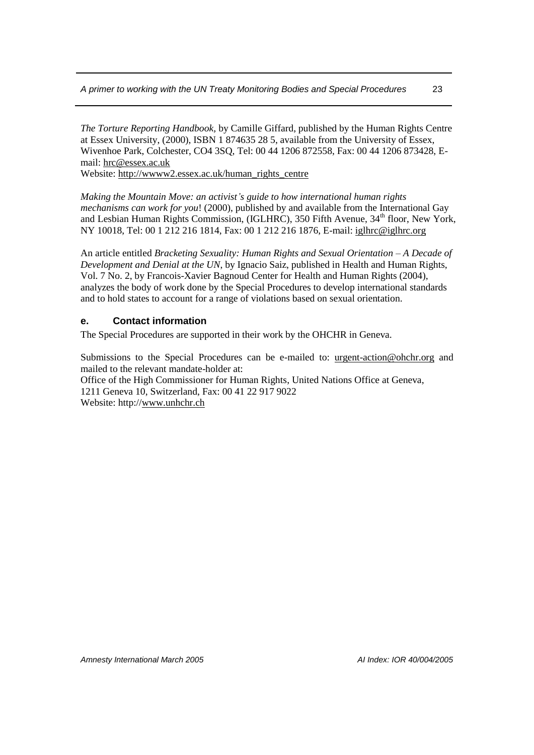*The Torture Reporting Handbook,* by Camille Giffard, published by the Human Rights Centre at Essex University, (2000), ISBN 1 874635 28 5, available from the University of Essex, Wivenhoe Park, Colchester, CO4 3SQ, Tel: 00 44 1206 872558, Fax: 00 44 1206 873428, Email: [hrc@essex.ac.uk](mailto:hrc@essex.ac.uk)

Website[: http://wwww2.essex.ac.uk/human\\_rights\\_centre](http://wwww2.essex.ac.uk/human_rights_centre)

*Making the Mountain Move: an activist's guide to how international human rights mechanisms can work for you*! (2000), published by and available from the International Gay and Lesbian Human Rights Commission, (IGLHRC), 350 Fifth Avenue,  $34<sup>th</sup>$  floor, New York, NY 10018, Tel: 00 1 212 216 1814, Fax: 00 1 212 216 1876, E-mail: [iglhrc@iglhrc.org](mailto:iglhrc@iglhrc.org)

An article entitled *Bracketing Sexuality: Human Rights and Sexual Orientation – A Decade of Development and Denial at the UN*, by Ignacio Saiz, published in Health and Human Rights, Vol. 7 No. 2, by Francois-Xavier Bagnoud Center for Health and Human Rights (2004), analyzes the body of work done by the Special Procedures to develop international standards and to hold states to account for a range of violations based on sexual orientation.

#### <span id="page-24-0"></span>**e. Contact information**

The Special Procedures are supported in their work by the OHCHR in Geneva.

Submissions to the Special Procedures can be e-mailed to: [urgent-action@ohchr.org](mailto:urgent-action@ohchr.org) and mailed to the relevant mandate-holder at:

Office of the High Commissioner for Human Rights, United Nations Office at Geneva, 1211 Geneva 10, Switzerland, Fax: 00 41 22 917 9022 Website: http:/[/www.unhchr.ch](http://www.unhchr.ch/)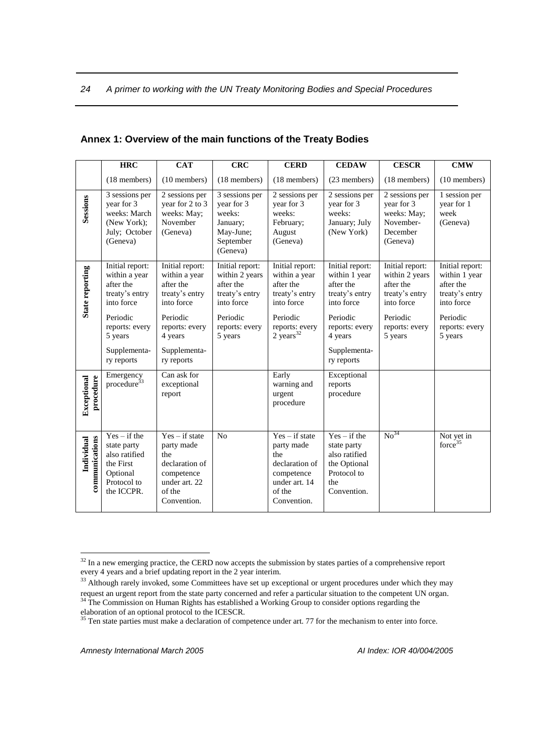|                              | <b>HRC</b><br><b>CAT</b>                                                                                                                             |                                                                                                                                                      | <b>CRC</b>                                                                                                              | <b>CERD</b>                                                                                                                            | <b>CEDAW</b>                                                                                                                                         | <b>CESCR</b>                                                                                                            | <b>CMW</b>                                                                                                             |
|------------------------------|------------------------------------------------------------------------------------------------------------------------------------------------------|------------------------------------------------------------------------------------------------------------------------------------------------------|-------------------------------------------------------------------------------------------------------------------------|----------------------------------------------------------------------------------------------------------------------------------------|------------------------------------------------------------------------------------------------------------------------------------------------------|-------------------------------------------------------------------------------------------------------------------------|------------------------------------------------------------------------------------------------------------------------|
|                              | (18 members)                                                                                                                                         | (10 members)                                                                                                                                         | (18 members)                                                                                                            | (18 members)                                                                                                                           | (23 members)                                                                                                                                         | (18 members)                                                                                                            | (10 members)                                                                                                           |
| Sessions                     | 3 sessions per<br>year for 3<br>weeks: March<br>(New York);<br>July; October<br>(Geneva)                                                             | 2 sessions per<br>year for 2 to 3<br>weeks: May;<br>November<br>(Geneva)                                                                             | 3 sessions per<br>year for 3<br>weeks:<br>January;<br>May-June;<br>September<br>(Geneva)                                | 2 sessions per<br>year for 3<br>weeks:<br>February;<br>August<br>(Geneva)                                                              | 2 sessions per<br>year for 3<br>weeks:<br>January; July<br>(New York)                                                                                | 2 sessions per<br>year for 3<br>weeks: May;<br>November-<br>December<br>(Geneva)                                        | 1 session per<br>year for 1<br>week<br>(Geneva)                                                                        |
| State reporting              | Initial report:<br>within a year<br>after the<br>treaty's entry<br>into force<br>Periodic<br>reports: every<br>5 years<br>Supplementa-<br>ry reports | Initial report:<br>within a year<br>after the<br>treaty's entry<br>into force<br>Periodic<br>reports: every<br>4 years<br>Supplementa-<br>ry reports | Initial report:<br>within 2 years<br>after the<br>treaty's entry<br>into force<br>Periodic<br>reports: every<br>5 years | Initial report:<br>within a year<br>after the<br>treaty's entry<br>into force<br>Periodic<br>reports: every<br>$2$ years <sup>32</sup> | Initial report:<br>within 1 year<br>after the<br>treaty's entry<br>into force<br>Periodic<br>reports: every<br>4 years<br>Supplementa-<br>ry reports | Initial report:<br>within 2 years<br>after the<br>treaty's entry<br>into force<br>Periodic<br>reports: every<br>5 years | Initial report:<br>within 1 year<br>after the<br>treaty's entry<br>into force<br>Periodic<br>reports: every<br>5 years |
| procedure<br>Exceptional     | Emergency<br>procedure <sup>33</sup>                                                                                                                 | Can ask for<br>exceptional<br>report                                                                                                                 |                                                                                                                         | Early<br>warning and<br>urgent<br>procedure                                                                                            | Exceptional<br>reports<br>procedure                                                                                                                  |                                                                                                                         |                                                                                                                        |
| Individual<br>communications | $Yes - if the$<br>state party<br>also ratified<br>the First<br>Optional<br>Protocol to<br>the ICCPR.                                                 | $Yes - if state$<br>party made<br>the<br>declaration of<br>competence<br>under art. 22<br>of the<br>Convention.                                      | N <sub>o</sub>                                                                                                          | $Yes - if state$<br>party made<br>the<br>declaration of<br>competence<br>under art. 14<br>of the<br>Convention.                        | $Yes - if the$<br>state party<br>also ratified<br>the Optional<br>Protocol to<br>the<br>Convention.                                                  | No <sup>34</sup>                                                                                                        | Not yet in<br>force <sup>35</sup>                                                                                      |

#### <span id="page-25-0"></span>**Annex 1: Overview of the main functions of the Treaty Bodies**

<sup>&</sup>lt;sup>32</sup> In a new emerging practice, the CERD now accepts the submission by states parties of a comprehensive report every 4 years and a brief updating report in the 2 year interim.

<sup>&</sup>lt;sup>33</sup> Although rarely invoked, some Committees have set up exceptional or urgent procedures under which they may request an urgent report from the state party concerned and refer a particular situation to the competent UN organ. <sup>34</sup> The Commission on Human Rights has established a Working Group to consider options regarding the elaboration of an optional protocol to the ICESCR.

<sup>&</sup>lt;sup>35</sup> Ten state parties must make a declaration of competence under art. 77 for the mechanism to enter into force.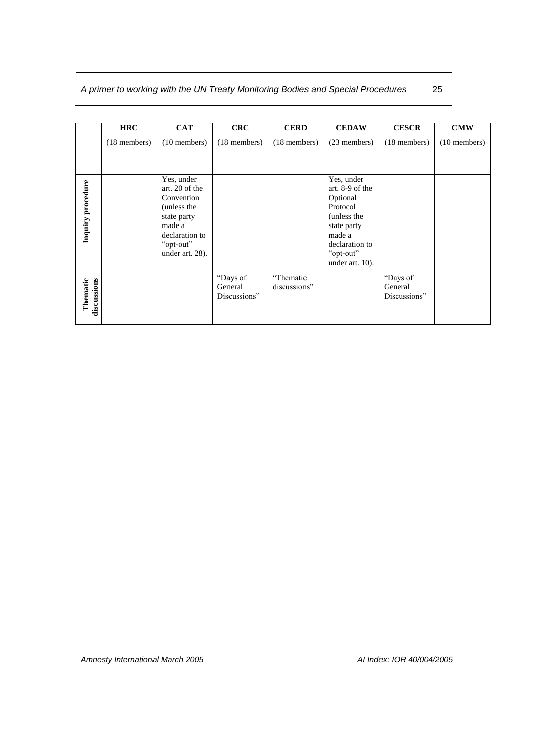|                         | <b>HRC</b>     | <b>CAT</b>                                                                                                                           | <b>CRC</b>                          | <b>CERD</b>               | <b>CEDAW</b>                                                                                                                                    | <b>CESCR</b>                        | <b>CMW</b>     |
|-------------------------|----------------|--------------------------------------------------------------------------------------------------------------------------------------|-------------------------------------|---------------------------|-------------------------------------------------------------------------------------------------------------------------------------------------|-------------------------------------|----------------|
|                         | $(18$ members) | $(10$ members)                                                                                                                       | $(18$ members)                      | $(18$ members)            | (23 members)                                                                                                                                    | $(18$ members)                      | $(10$ members) |
| Inquiry procedure       |                | Yes, under<br>art. 20 of the<br>Convention<br>(unless the<br>state party<br>made a<br>declaration to<br>"opt-out"<br>under art. 28). |                                     |                           | Yes, under<br>art. 8-9 of the<br>Optional<br>Protocol<br>(unless the<br>state party<br>made a<br>declaration to<br>"opt-out"<br>under art. 10). |                                     |                |
| discussions<br>Thematic |                |                                                                                                                                      | "Days of<br>General<br>Discussions" | "Thematic<br>discussions" |                                                                                                                                                 | "Days of<br>General<br>Discussions" |                |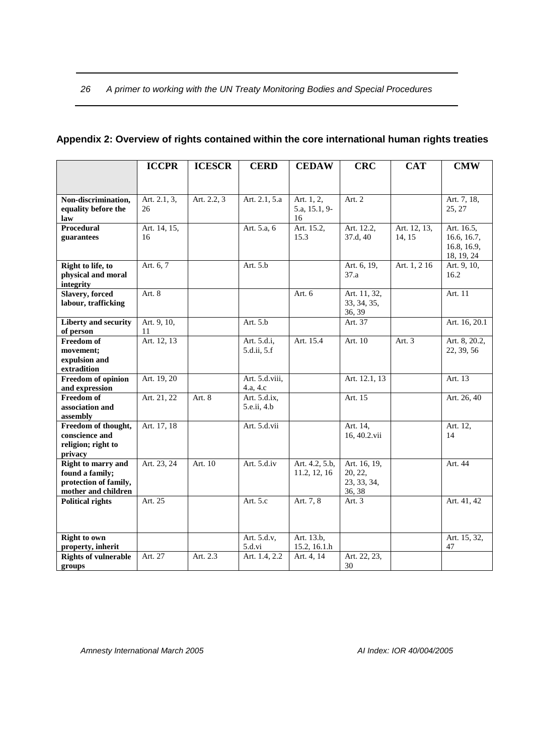|                             | <b>ICCPR</b> | <b>ICESCR</b> | <b>CERD</b>    | <b>CEDAW</b>   | <b>CRC</b>                 | <b>CAT</b>   | <b>CMW</b>    |
|-----------------------------|--------------|---------------|----------------|----------------|----------------------------|--------------|---------------|
|                             |              |               |                |                |                            |              |               |
|                             |              |               |                |                |                            |              |               |
| Non-discrimination,         | Art. 2.1, 3, | Art. 2.2, 3   | Art. 2.1, 5.a  | Art. 1, 2,     | Art. $2$                   |              | Art. 7, 18,   |
| equality before the         | 26           |               |                | 5.a, 15.1, 9-  |                            |              | 25, 27        |
| law                         |              |               |                | 16             |                            |              |               |
| Procedural                  | Art. 14, 15, |               | Art. 5.a, 6    | Art. 15.2,     | Art. 12.2,                 | Art. 12, 13, | Art. 16.5,    |
| guarantees                  | 16           |               |                | 15.3           | 37.d, 40                   | 14, 15       | 16.6, 16.7,   |
|                             |              |               |                |                |                            |              | 16.8, 16.9,   |
|                             |              |               |                |                |                            |              | 18, 19, 24    |
| Right to life, to           | Art. 6, 7    |               | Art. 5.b       |                | Art. 6, 19,                | Art. 1, 216  | Art. 9, 10,   |
| physical and moral          |              |               |                |                | 37.a                       |              | 16.2          |
| integrity                   |              |               |                |                |                            |              |               |
| <b>Slavery</b> , forced     | Art. 8       |               |                | Art. 6         | Art. 11, 32,               |              | Art. 11       |
| labour, trafficking         |              |               |                |                | 33, 34, 35,                |              |               |
|                             |              |               |                |                | 36, 39                     |              |               |
| <b>Liberty and security</b> | Art. 9, 10,  |               | Art. 5.b       |                | Art. 37                    |              | Art. 16, 20.1 |
| of person                   | 11           |               |                |                |                            |              |               |
| <b>Freedom</b> of           | Art. 12, 13  |               | Art. 5.d.i,    | Art. 15.4      | Art. 10                    | Art. $3$     | Art. 8, 20.2, |
| movement;                   |              |               | 5.d.ii, 5.f    |                |                            |              | 22, 39, 56    |
| expulsion and               |              |               |                |                |                            |              |               |
| extradition                 |              |               |                |                |                            |              |               |
| Freedom of opinion          | Art. 19, 20  |               | Art. 5.d.viii, |                | Art. 12.1, 13              |              | Art. 13       |
| and expression              |              |               | 4.a, 4.c       |                |                            |              |               |
| Freedom of                  | Art. 21, 22  | Art. 8        | Art. 5.d.ix,   |                | Art. $15$                  |              | Art. 26, 40   |
| association and             |              |               | 5.e.ii, 4.b    |                |                            |              |               |
| assembly                    |              |               |                |                |                            |              |               |
| Freedom of thought,         | Art. 17, 18  |               | Art. 5.d.vii   |                | Art. 14,                   |              | Art. 12,      |
| conscience and              |              |               |                |                | 16, 40.2.vii               |              | 14            |
| religion; right to          |              |               |                |                |                            |              |               |
| privacy                     |              |               |                |                |                            |              |               |
| Right to marry and          | Art. 23, 24  | Art. 10       | Art. 5.d.iv    | Art. 4.2, 5.b, | Art. 16, 19,               |              | Art. 44       |
| found a family;             |              |               |                | 11.2, 12, 16   | 20, 22,                    |              |               |
| protection of family,       |              |               |                |                | 23, 33, 34,                |              |               |
| mother and children         |              |               |                |                | 36, 38                     |              |               |
| <b>Political rights</b>     | Art. 25      |               | Art. 5.c       | Art. 7, 8      | Art. $3$                   |              | Art. 41, 42   |
|                             |              |               |                |                |                            |              |               |
|                             |              |               |                |                |                            |              |               |
| <b>Right to own</b>         |              |               | Art. 5.d.v,    | Art. 13.b,     |                            |              | Art. 15, 32,  |
| property, inherit           |              |               | 5.d.vi         | 15.2, 16.1.h   |                            |              | 47            |
| <b>Rights of vulnerable</b> | Art. 27      | Art. 2.3      | Art. 1.4, 2.2  | Art. 4, 14     | Art. 22, $2\overline{3}$ , |              |               |
| groups                      |              |               |                |                | 30                         |              |               |

## <span id="page-27-0"></span>**Appendix 2: Overview of rights contained within the core international human rights treaties**

*Amnesty International March 2005 AI Index: IOR 40/004/2005*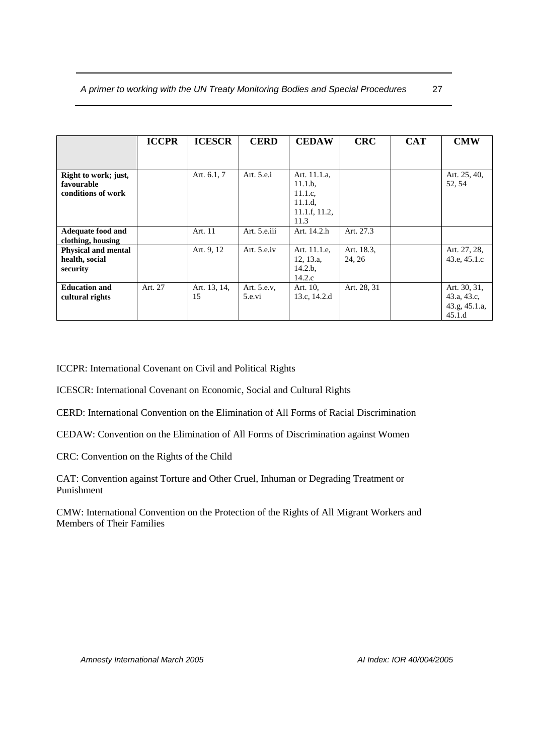|                                                          | <b>ICCPR</b> | <b>ICESCR</b>      | <b>CERD</b>           | <b>CEDAW</b>                                                           | <b>CRC</b>           | <b>CAT</b> | <b>CMW</b>                                             |
|----------------------------------------------------------|--------------|--------------------|-----------------------|------------------------------------------------------------------------|----------------------|------------|--------------------------------------------------------|
|                                                          |              |                    |                       |                                                                        |                      |            |                                                        |
| Right to work; just,<br>favourable<br>conditions of work |              | Art. 6.1, 7        | Art. 5.e.i            | Art. 11.1.a,<br>11.1.b.<br>11.1.c.<br>11.1.d.<br>11.1.f, 11.2,<br>11.3 |                      |            | Art. 25, 40,<br>52, 54                                 |
| <b>Adequate food and</b><br>clothing, housing            |              | Art. 11            | Art. 5.e.iii          | Art. 14.2.h                                                            | Art. 27.3            |            |                                                        |
| <b>Physical and mental</b><br>health, social<br>security |              | Art. 9, 12         | Art. 5.e.iv           | Art. 11.1.e.<br>12, 13.a,<br>14.2.b.<br>14.2.c                         | Art. 18.3,<br>24, 26 |            | Art. 27, 28,<br>43.e, 45.1.c                           |
| <b>Education and</b><br>cultural rights                  | Art. 27      | Art. 13, 14,<br>15 | Art. 5.e.v.<br>5.e.vi | Art. 10,<br>13.c, 14.2.d                                               | Art. 28, 31          |            | Art. 30, 31,<br>43.a, 43.c,<br>43.g, 45.1.a,<br>45.1.d |

ICCPR: International Covenant on Civil and Political Rights

ICESCR: International Covenant on Economic, Social and Cultural Rights

CERD: International Convention on the Elimination of All Forms of Racial Discrimination

CEDAW: Convention on the Elimination of All Forms of Discrimination against Women

CRC: Convention on the Rights of the Child

CAT: Convention against Torture and Other Cruel, Inhuman or Degrading Treatment or Punishment

CMW: International Convention on the Protection of the Rights of All Migrant Workers and Members of Their Families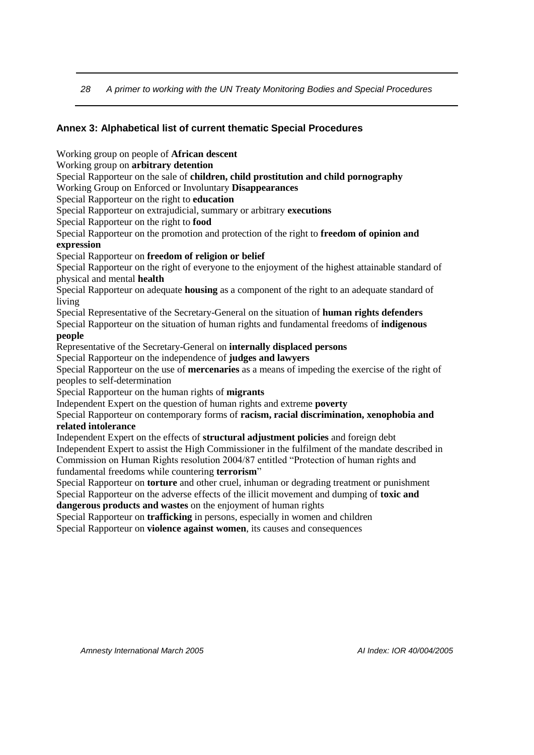#### <span id="page-29-0"></span>**Annex 3: Alphabetical list of current thematic Special Procedures**

Working group on people of **African descent**

Working group on **arbitrary detention**

Special Rapporteur on the sale of **children, child prostitution and child pornography**

Working Group on Enforced or Involuntary **Disappearances**

Special Rapporteur on the right to **education**

Special Rapporteur on extrajudicial, summary or arbitrary **executions**

Special Rapporteur on the right to **food**

Special Rapporteur on the promotion and protection of the right to **freedom of opinion and expression**

#### Special Rapporteur on **freedom of religion or belief**

Special Rapporteur on the right of everyone to the enjoyment of the highest attainable standard of physical and mental **health**

Special Rapporteur on adequate **housing** as a component of the right to an adequate standard of living

Special Representative of the Secretary-General on the situation of **human rights defenders**

Special Rapporteur on the situation of human rights and fundamental freedoms of **indigenous people**

Representative of the Secretary-General on **internally displaced persons**

Special Rapporteur on the independence of **judges and lawyers**

Special Rapporteur on the use of **mercenaries** as a means of impeding the exercise of the right of peoples to self-determination

Special Rapporteur on the human rights of **migrants**

Independent Expert on the question of human rights and extreme **poverty**

Special Rapporteur on contemporary forms of **racism, racial discrimination, xenophobia and related intolerance**

Independent Expert on the effects of **structural adjustment policies** and foreign debt Independent Expert to assist the High Commissioner in the fulfilment of the mandate described in Commission on Human Rights resolution 2004/87 entitled "Protection of human rights and fundamental freedoms while countering **terrorism**"

Special Rapporteur on **torture** and other cruel, inhuman or degrading treatment or punishment Special Rapporteur on the adverse effects of the illicit movement and dumping of **toxic and dangerous products and wastes** on the enjoyment of human rights

Special Rapporteur on **trafficking** in persons, especially in women and children

Special Rapporteur on **violence against women**, its causes and consequences